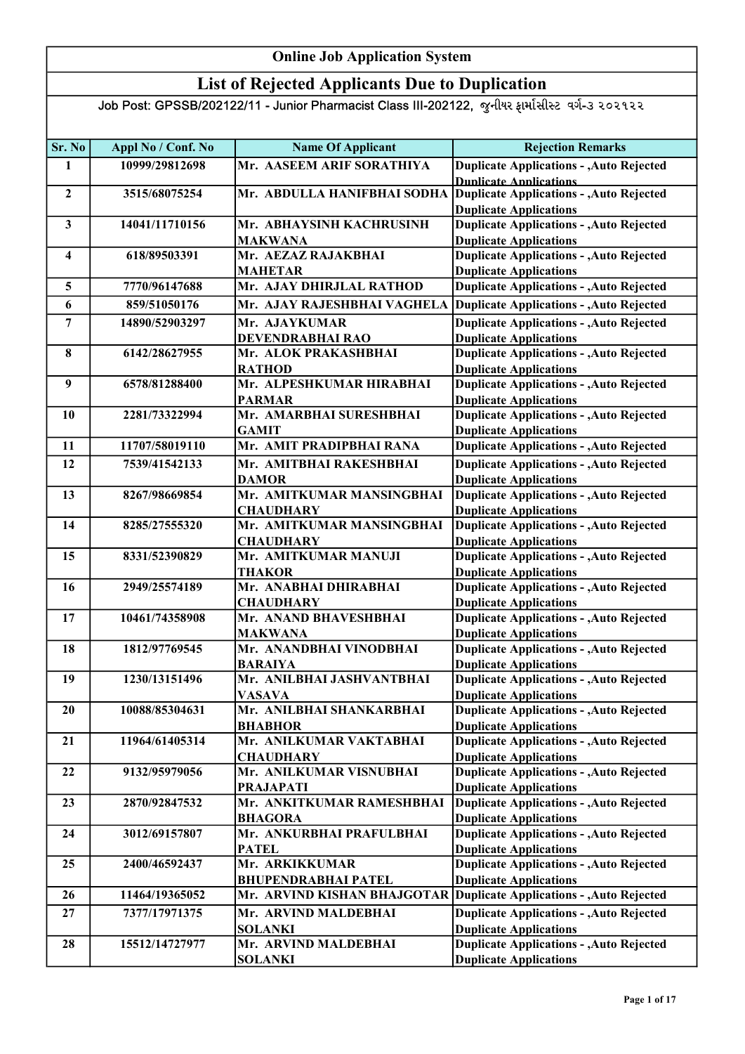### List of Rejected Applicants Due to Duplication

| Sr. No                  | Appl No / Conf. No | <b>Name Of Applicant</b>                    | <b>Rejection Remarks</b>                                                         |
|-------------------------|--------------------|---------------------------------------------|----------------------------------------------------------------------------------|
| $\mathbf{1}$            | 10999/29812698     | Mr. AASEEM ARIF SORATHIYA                   | <b>Duplicate Applications - , Auto Rejected</b>                                  |
|                         |                    |                                             | <b>Dunlicate Annlications</b>                                                    |
| $\overline{2}$          | 3515/68075254      | Mr. ABDULLA HANIFBHAI SODHA                 | Duplicate Applications - , Auto Rejected                                         |
|                         |                    |                                             | <b>Duplicate Applications</b>                                                    |
| $\mathbf{3}$            | 14041/11710156     | Mr. ABHAYSINH KACHRUSINH                    | <b>Duplicate Applications - , Auto Rejected</b>                                  |
|                         |                    | MAKWANA                                     | <b>Duplicate Applications</b>                                                    |
| $\overline{\mathbf{4}}$ | 618/89503391       | Mr. AEZAZ RAJAKBHAI                         | <b>Duplicate Applications - , Auto Rejected</b>                                  |
|                         |                    | <b>MAHETAR</b>                              | <b>Duplicate Applications</b>                                                    |
| 5                       | 7770/96147688      | Mr. AJAY DHIRJLAL RATHOD                    | <b>Duplicate Applications - , Auto Rejected</b>                                  |
| 6                       | 859/51050176       | Mr. AJAY RAJESHBHAI VAGHELA                 | Duplicate Applications - , Auto Rejected                                         |
| $\overline{7}$          | 14890/52903297     | Mr. AJAYKUMAR                               | <b>Duplicate Applications - , Auto Rejected</b>                                  |
|                         |                    | DEVENDRABHAI RAO                            | <b>Duplicate Applications</b>                                                    |
| 8                       | 6142/28627955      | Mr. ALOK PRAKASHBHAI                        | <b>Duplicate Applications - , Auto Rejected</b>                                  |
|                         |                    | <b>RATHOD</b>                               | <b>Duplicate Applications</b>                                                    |
| 9                       | 6578/81288400      | Mr. ALPESHKUMAR HIRABHAI                    | <b>Duplicate Applications - , Auto Rejected</b>                                  |
|                         |                    | <b>PARMAR</b>                               | <b>Duplicate Applications</b>                                                    |
| 10                      | 2281/73322994      | Mr. AMARBHAI SURESHBHAI                     | <b>Duplicate Applications - , Auto Rejected</b>                                  |
|                         |                    | <b>GAMIT</b>                                | <b>Duplicate Applications</b>                                                    |
| 11                      | 11707/58019110     | Mr. AMIT PRADIPBHAI RANA                    | <b>Duplicate Applications - , Auto Rejected</b>                                  |
| 12                      | 7539/41542133      | Mr. AMITBHAI RAKESHBHAI                     | <b>Duplicate Applications - , Auto Rejected</b>                                  |
|                         |                    | <b>DAMOR</b>                                | <b>Duplicate Applications</b>                                                    |
| 13                      | 8267/98669854      | Mr. AMITKUMAR MANSINGBHAI                   | <b>Duplicate Applications - , Auto Rejected</b>                                  |
|                         |                    | <b>CHAUDHARY</b>                            | <b>Duplicate Applications</b>                                                    |
| 14                      | 8285/27555320      | Mr. AMITKUMAR MANSINGBHAI                   | <b>Duplicate Applications - , Auto Rejected</b>                                  |
|                         |                    | <b>CHAUDHARY</b>                            | <b>Duplicate Applications</b>                                                    |
| 15                      | 8331/52390829      | Mr. AMITKUMAR MANUJI                        | <b>Duplicate Applications - , Auto Rejected</b>                                  |
|                         |                    | <b>THAKOR</b>                               | <b>Duplicate Applications</b>                                                    |
| 16                      | 2949/25574189      | Mr. ANABHAI DHIRABHAI                       | <b>Duplicate Applications - , Auto Rejected</b>                                  |
|                         |                    | <b>CHAUDHARY</b>                            | <b>Duplicate Applications</b>                                                    |
| 17                      | 10461/74358908     | Mr. ANAND BHAVESHBHAI                       | <b>Duplicate Applications - , Auto Rejected</b>                                  |
|                         |                    | <b>MAKWANA</b>                              | <b>Duplicate Applications</b>                                                    |
| 18                      | 1812/97769545      | Mr. ANANDBHAI VINODBHAI                     | <b>Duplicate Applications - , Auto Rejected</b>                                  |
|                         |                    | <b>BARAIYA</b>                              | <b>Duplicate Applications</b>                                                    |
| 19                      | 1230/13151496      | Mr. ANILBHAI JASHVANTBHAI                   | <b>Duplicate Applications - , Auto Rejected</b>                                  |
|                         |                    | <b>VASAVA</b>                               | <b>Duplicate Applications</b>                                                    |
| 20                      | 10088/85304631     | Mr. ANILBHAI SHANKARBHAI                    | <b>Duplicate Applications - , Auto Rejected</b>                                  |
|                         |                    | <b>BHABHOR</b>                              | <b>Duplicate Applications</b>                                                    |
| 21                      | 11964/61405314     | Mr. ANILKUMAR VAKTABHAI<br><b>CHAUDHARY</b> | <b>Duplicate Applications - , Auto Rejected</b>                                  |
| 22                      | 9132/95979056      | Mr. ANILKUMAR VISNUBHAI                     | <b>Duplicate Applications</b><br><b>Duplicate Applications - , Auto Rejected</b> |
|                         |                    | <b>PRAJAPATI</b>                            | <b>Duplicate Applications</b>                                                    |
| 23                      | 2870/92847532      | Mr. ANKITKUMAR RAMESHBHAI                   | <b>Duplicate Applications - , Auto Rejected</b>                                  |
|                         |                    | <b>BHAGORA</b>                              | <b>Duplicate Applications</b>                                                    |
| 24                      | 3012/69157807      | Mr. ANKURBHAI PRAFULBHAI                    | <b>Duplicate Applications - , Auto Rejected</b>                                  |
|                         |                    | <b>PATEL</b>                                | <b>Duplicate Applications</b>                                                    |
| 25                      | 2400/46592437      | Mr. ARKIKKUMAR                              | <b>Duplicate Applications - , Auto Rejected</b>                                  |
|                         |                    | <b>BHUPENDRABHAI PATEL</b>                  | <b>Duplicate Applications</b>                                                    |
| 26                      | 11464/19365052     | Mr. ARVIND KISHAN BHAJGOTAR                 | Duplicate Applications - , Auto Rejected                                         |
| 27                      | 7377/17971375      | Mr. ARVIND MALDEBHAI                        | <b>Duplicate Applications - , Auto Rejected</b>                                  |
|                         |                    | <b>SOLANKI</b>                              | <b>Duplicate Applications</b>                                                    |
| 28                      | 15512/14727977     | Mr. ARVIND MALDEBHAI                        | <b>Duplicate Applications - , Auto Rejected</b>                                  |
|                         |                    | <b>SOLANKI</b>                              | <b>Duplicate Applications</b>                                                    |
|                         |                    |                                             |                                                                                  |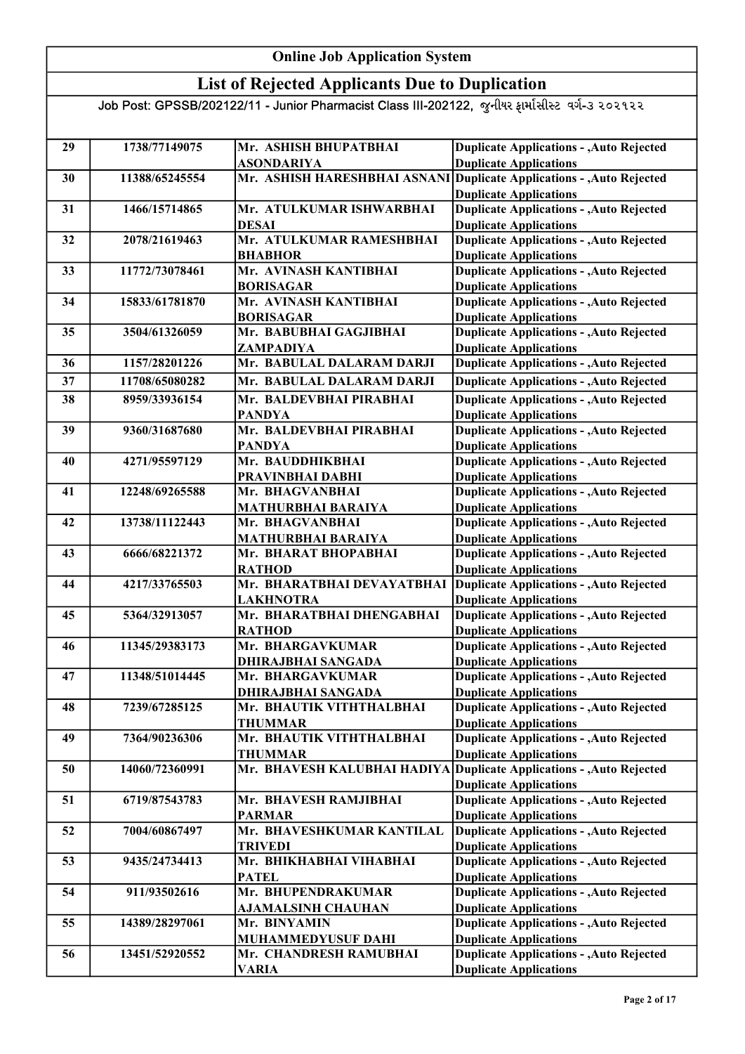### List of Rejected Applicants Due to Duplication

| 29 | 1738/77149075  | Mr. ASHISH BHUPATBHAI              | <b>Duplicate Applications - , Auto Rejected</b>                                  |
|----|----------------|------------------------------------|----------------------------------------------------------------------------------|
|    |                | <b>ASONDARIYA</b>                  | <b>Duplicate Applications</b>                                                    |
| 30 | 11388/65245554 | Mr. ASHISH HARESHBHAI ASNANI       | Duplicate Applications - , Auto Rejected                                         |
|    |                | Mr. ATULKUMAR ISHWARBHAI           | <b>Duplicate Applications</b>                                                    |
| 31 | 1466/15714865  | <b>DESAI</b>                       | <b>Duplicate Applications - , Auto Rejected</b><br><b>Duplicate Applications</b> |
| 32 | 2078/21619463  | Mr. ATULKUMAR RAMESHBHAI           | <b>Duplicate Applications - , Auto Rejected</b>                                  |
|    |                | <b>BHABHOR</b>                     | <b>Duplicate Applications</b>                                                    |
| 33 | 11772/73078461 | Mr. AVINASH KANTIBHAI              | <b>Duplicate Applications - , Auto Rejected</b>                                  |
|    |                | <b>BORISAGAR</b>                   | <b>Duplicate Applications</b>                                                    |
| 34 | 15833/61781870 | Mr. AVINASH KANTIBHAI              | <b>Duplicate Applications - , Auto Rejected</b>                                  |
|    |                | <b>BORISAGAR</b>                   | <b>Duplicate Applications</b>                                                    |
| 35 | 3504/61326059  | Mr. BABUBHAI GAGJIBHAI             | <b>Duplicate Applications - , Auto Rejected</b>                                  |
|    |                | ZAMPADIYA                          | <b>Duplicate Applications</b>                                                    |
| 36 | 1157/28201226  | Mr. BABULAL DALARAM DARJI          | <b>Duplicate Applications - , Auto Rejected</b>                                  |
| 37 | 11708/65080282 | Mr. BABULAL DALARAM DARJI          | <b>Duplicate Applications - , Auto Rejected</b>                                  |
| 38 | 8959/33936154  | Mr. BALDEVBHAI PIRABHAI            | <b>Duplicate Applications - , Auto Rejected</b>                                  |
|    |                | <b>PANDYA</b>                      | <b>Duplicate Applications</b>                                                    |
| 39 | 9360/31687680  | Mr. BALDEVBHAI PIRABHAI            | <b>Duplicate Applications - , Auto Rejected</b>                                  |
|    |                | <b>PANDYA</b>                      | <b>Duplicate Applications</b>                                                    |
| 40 | 4271/95597129  | Mr. BAUDDHIKBHAI                   | <b>Duplicate Applications - , Auto Rejected</b>                                  |
|    |                | PRAVINBHAI DABHI                   | <b>Duplicate Applications</b>                                                    |
| 41 | 12248/69265588 | Mr. BHAGVANBHAI                    | Duplicate Applications - Auto Rejected                                           |
|    |                | <b>MATHURBHAI BARAIYA</b>          | <b>Duplicate Applications</b>                                                    |
| 42 | 13738/11122443 | Mr. BHAGVANBHAI                    | <b>Duplicate Applications - , Auto Rejected</b>                                  |
|    |                | <b>MATHURBHAI BARAIYA</b>          | <b>Duplicate Applications</b>                                                    |
| 43 | 6666/68221372  | Mr. BHARAT BHOPABHAI               | <b>Duplicate Applications - , Auto Rejected</b>                                  |
|    |                | <b>RATHOD</b>                      | <b>Duplicate Applications</b>                                                    |
| 44 | 4217/33765503  | Mr. BHARATBHAI DEVAYATBHAI         | <b>Duplicate Applications - , Auto Rejected</b>                                  |
|    |                | <b>LAKHNOTRA</b>                   | <b>Duplicate Applications</b>                                                    |
| 45 | 5364/32913057  | Mr. BHARATBHAI DHENGABHAI          | <b>Duplicate Applications - , Auto Rejected</b>                                  |
| 46 | 11345/29383173 | <b>RATHOD</b><br>Mr. BHARGAVKUMAR  | <b>Duplicate Applications</b><br><b>Duplicate Applications - , Auto Rejected</b> |
|    |                | <b>DHIRAJBHAI SANGADA</b>          | <b>Duplicate Applications</b>                                                    |
| 47 | 11348/51014445 | Mr. BHARGAVKUMAR                   | <b>Duplicate Applications - , Auto Rejected</b>                                  |
|    |                | DHIRAJBHAI SANGADA                 | <b>Duplicate Applications</b>                                                    |
| 48 | 7239/67285125  | Mr. BHAUTIK VITHTHALBHAI           | <b>Duplicate Applications - , Auto Rejected</b>                                  |
|    |                | <b>THUMMAR</b>                     | <b>Duplicate Applications</b>                                                    |
| 49 | 7364/90236306  | Mr. BHAUTIK VITHTHALBHAI           | <b>Duplicate Applications - , Auto Rejected</b>                                  |
|    |                | <b>THUMMAR</b>                     | <b>Duplicate Applications</b>                                                    |
| 50 | 14060/72360991 | Mr. BHAVESH KALUBHAI HADIYA        | <b>Duplicate Applications - , Auto Rejected</b>                                  |
|    |                |                                    | <b>Duplicate Applications</b>                                                    |
| 51 | 6719/87543783  | Mr. BHAVESH RAMJIBHAI              | <b>Duplicate Applications - , Auto Rejected</b>                                  |
|    |                | <b>PARMAR</b>                      | <b>Duplicate Applications</b>                                                    |
| 52 | 7004/60867497  | Mr. BHAVESHKUMAR KANTILAL          | <b>Duplicate Applications - , Auto Rejected</b>                                  |
|    |                | <b>TRIVEDI</b>                     | <b>Duplicate Applications</b>                                                    |
| 53 | 9435/24734413  | Mr. BHIKHABHAI VIHABHAI            | <b>Duplicate Applications - Auto Rejected</b>                                    |
| 54 | 911/93502616   | <b>PATEL</b><br>Mr. BHUPENDRAKUMAR | <b>Duplicate Applications</b><br><b>Duplicate Applications - , Auto Rejected</b> |
|    |                | AJAMALSINH CHAUHAN                 | <b>Duplicate Applications</b>                                                    |
| 55 | 14389/28297061 | Mr. BINYAMIN                       | <b>Duplicate Applications - , Auto Rejected</b>                                  |
|    |                | MUHAMMEDYUSUF DAHI                 | <b>Duplicate Applications</b>                                                    |
| 56 | 13451/52920552 | Mr. CHANDRESH RAMUBHAI             | <b>Duplicate Applications - , Auto Rejected</b>                                  |
|    |                | <b>VARIA</b>                       | <b>Duplicate Applications</b>                                                    |
|    |                |                                    |                                                                                  |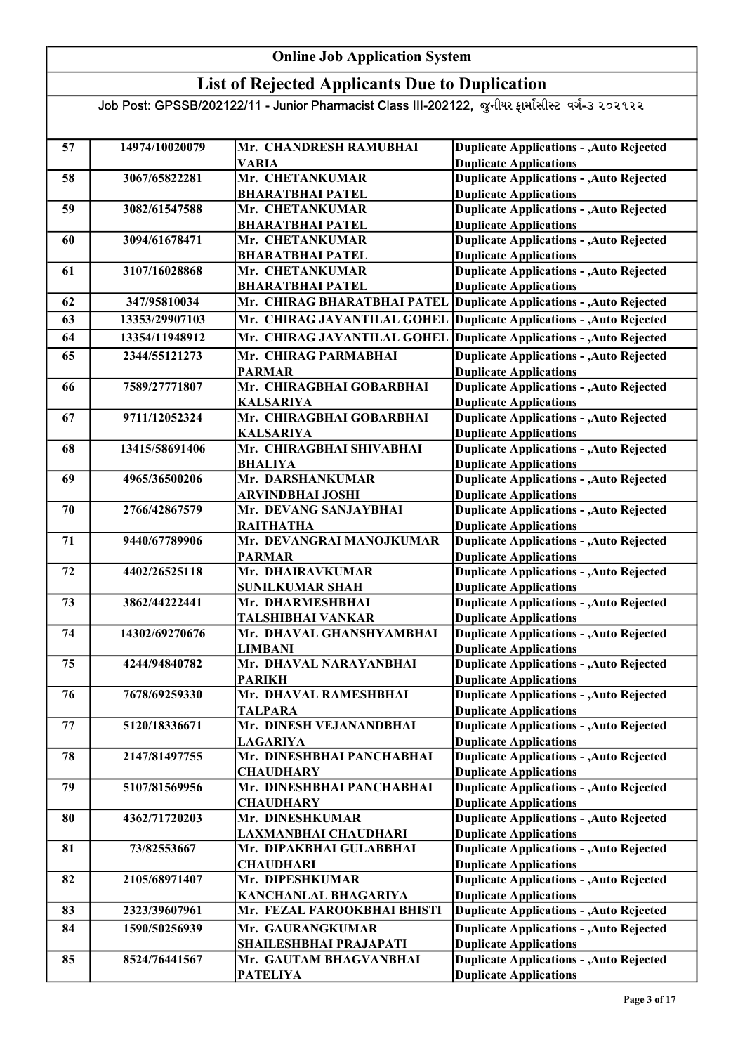### List of Rejected Applicants Due to Duplication

| 57 | 14974/10020079 | Mr. CHANDRESH RAMUBHAI                        | <b>Duplicate Applications - , Auto Rejected</b>                                  |
|----|----------------|-----------------------------------------------|----------------------------------------------------------------------------------|
|    |                | <b>VARIA</b>                                  | <b>Duplicate Applications</b>                                                    |
| 58 | 3067/65822281  | Mr. CHETANKUMAR                               | <b>Duplicate Applications - , Auto Rejected</b>                                  |
|    |                | <b>BHARATBHAI PATEL</b>                       | <b>Duplicate Applications</b>                                                    |
| 59 | 3082/61547588  | Mr. CHETANKUMAR                               | <b>Duplicate Applications - , Auto Rejected</b>                                  |
|    |                | <b>BHARATBHAI PATEL</b>                       | <b>Duplicate Applications</b>                                                    |
| 60 | 3094/61678471  | Mr. CHETANKUMAR                               | <b>Duplicate Applications - , Auto Rejected</b>                                  |
|    |                | <b>BHARATBHAI PATEL</b>                       | <b>Duplicate Applications</b>                                                    |
| 61 | 3107/16028868  | Mr. CHETANKUMAR                               | <b>Duplicate Applications - , Auto Rejected</b>                                  |
|    |                | <b>BHARATBHAI PATEL</b>                       | <b>Duplicate Applications</b>                                                    |
| 62 | 347/95810034   | Mr. CHIRAG BHARATBHAI PATEL                   | Duplicate Applications - , Auto Rejected                                         |
| 63 | 13353/29907103 | Mr. CHIRAG JAYANTILAL GOHEL                   | Duplicate Applications - , Auto Rejected                                         |
| 64 | 13354/11948912 | Mr. CHIRAG JAYANTILAL GOHEL                   | Duplicate Applications - , Auto Rejected                                         |
| 65 | 2344/55121273  | Mr. CHIRAG PARMABHAI                          | <b>Duplicate Applications - , Auto Rejected</b>                                  |
|    |                | <b>PARMAR</b>                                 | <b>Duplicate Applications</b>                                                    |
| 66 | 7589/27771807  | Mr. CHIRAGBHAI GOBARBHAI                      | <b>Duplicate Applications - , Auto Rejected</b>                                  |
|    |                | <b>KALSARIYA</b>                              | <b>Duplicate Applications</b>                                                    |
| 67 | 9711/12052324  | Mr. CHIRAGBHAI GOBARBHAI                      | <b>Duplicate Applications - , Auto Rejected</b>                                  |
|    |                | <b>KALSARIYA</b>                              | <b>Duplicate Applications</b>                                                    |
| 68 | 13415/58691406 | Mr. CHIRAGBHAI SHIVABHAI                      | <b>Duplicate Applications - , Auto Rejected</b>                                  |
|    |                | <b>BHALIYA</b>                                | <b>Duplicate Applications</b>                                                    |
| 69 | 4965/36500206  | Mr. DARSHANKUMAR                              | <b>Duplicate Applications - , Auto Rejected</b>                                  |
|    |                | <b>ARVINDBHAI JOSHI</b>                       | <b>Duplicate Applications</b>                                                    |
| 70 | 2766/42867579  | Mr. DEVANG SANJAYBHAI                         | <b>Duplicate Applications - , Auto Rejected</b>                                  |
|    |                | <b>RAITHATHA</b>                              | <b>Duplicate Applications</b>                                                    |
| 71 | 9440/67789906  | Mr. DEVANGRAI MANOJKUMAR                      | <b>Duplicate Applications - , Auto Rejected</b>                                  |
|    |                | <b>PARMAR</b>                                 | <b>Duplicate Applications</b>                                                    |
| 72 | 4402/26525118  | Mr. DHAIRAVKUMAR                              | <b>Duplicate Applications - , Auto Rejected</b>                                  |
|    |                | <b>SUNILKUMAR SHAH</b>                        | <b>Duplicate Applications</b>                                                    |
| 73 | 3862/44222441  | Mr. DHARMESHBHAI                              | <b>Duplicate Applications - , Auto Rejected</b>                                  |
| 74 | 14302/69270676 | TALSHIBHAI VANKAR<br>Mr. DHAVAL GHANSHYAMBHAI | <b>Duplicate Applications</b><br><b>Duplicate Applications - , Auto Rejected</b> |
|    |                |                                               | <b>Duplicate Applications</b>                                                    |
| 75 | 4244/94840782  | <b>LIMBANI</b><br>Mr. DHAVAL NARAYANBHAI      | <b>Duplicate Applications - , Auto Rejected</b>                                  |
|    |                | <b>PARIKH</b>                                 | <b>Duplicate Applications</b>                                                    |
| 76 | 7678/69259330  | Mr. DHAVAL RAMESHBHAI                         | <b>Duplicate Applications - , Auto Rejected</b>                                  |
|    |                | <b>TALPARA</b>                                | <b>Duplicate Applications</b>                                                    |
| 77 | 5120/18336671  | Mr. DINESH VEJANANDBHAI                       | <b>Duplicate Applications - , Auto Rejected</b>                                  |
|    |                | <b>LAGARIYA</b>                               | <b>Duplicate Applications</b>                                                    |
| 78 | 2147/81497755  | Mr. DINESHBHAI PANCHABHAI                     | <b>Duplicate Applications - , Auto Rejected</b>                                  |
|    |                | <b>CHAUDHARY</b>                              | <b>Duplicate Applications</b>                                                    |
| 79 | 5107/81569956  | Mr. DINESHBHAI PANCHABHAI                     | <b>Duplicate Applications - , Auto Rejected</b>                                  |
|    |                | <b>CHAUDHARY</b>                              | <b>Duplicate Applications</b>                                                    |
| 80 | 4362/71720203  | Mr. DINESHKUMAR                               | <b>Duplicate Applications - , Auto Rejected</b>                                  |
|    |                | LAXMANBHAI CHAUDHARI                          | <b>Duplicate Applications</b>                                                    |
| 81 | 73/82553667    | Mr. DIPAKBHAI GULABBHAI                       | <b>Duplicate Applications - , Auto Rejected</b>                                  |
|    |                | <b>CHAUDHARI</b>                              | <b>Duplicate Applications</b>                                                    |
| 82 | 2105/68971407  | Mr. DIPESHKUMAR                               | <b>Duplicate Applications - , Auto Rejected</b>                                  |
|    |                | <b>KANCHANLAL BHAGARIYA</b>                   | <b>Duplicate Applications</b>                                                    |
| 83 | 2323/39607961  | Mr. FEZAL FAROOKBHAI BHISTI                   | <b>Duplicate Applications - , Auto Rejected</b>                                  |
| 84 | 1590/50256939  | Mr. GAURANGKUMAR                              | <b>Duplicate Applications - , Auto Rejected</b>                                  |
|    |                | SHAILESHBHAI PRAJAPATI                        | <b>Duplicate Applications</b>                                                    |
| 85 | 8524/76441567  | Mr. GAUTAM BHAGVANBHAI                        | <b>Duplicate Applications - , Auto Rejected</b>                                  |
|    |                | <b>PATELIYA</b>                               | <b>Duplicate Applications</b>                                                    |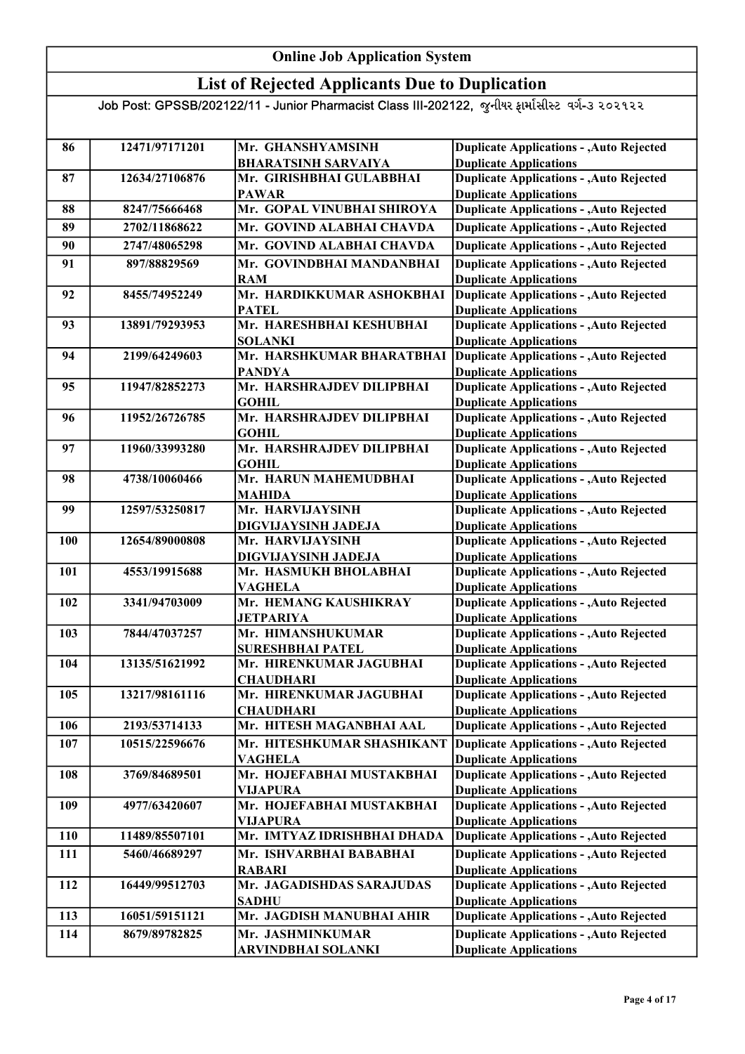### List of Rejected Applicants Due to Duplication

| 86         | 12471/97171201 | Mr. GHANSHYAMSINH                          | <b>Duplicate Applications - , Auto Rejected</b>                                  |
|------------|----------------|--------------------------------------------|----------------------------------------------------------------------------------|
|            |                | <b>BHARATSINH SARVAIYA</b>                 | <b>Duplicate Applications</b>                                                    |
| 87         | 12634/27106876 | Mr. GIRISHBHAI GULABBHAI                   | <b>Duplicate Applications - , Auto Rejected</b>                                  |
|            | 8247/75666468  | <b>PAWAR</b><br>Mr. GOPAL VINUBHAI SHIROYA | <b>Duplicate Applications</b>                                                    |
| 88         |                |                                            | <b>Duplicate Applications - , Auto Rejected</b>                                  |
| 89         | 2702/11868622  | Mr. GOVIND ALABHAI CHAVDA                  | <b>Duplicate Applications - , Auto Rejected</b>                                  |
| 90         | 2747/48065298  | Mr. GOVIND ALABHAI CHAVDA                  | <b>Duplicate Applications - , Auto Rejected</b>                                  |
| 91         | 897/88829569   | Mr. GOVINDBHAI MANDANBHAI                  | <b>Duplicate Applications - , Auto Rejected</b>                                  |
|            |                | <b>RAM</b>                                 | <b>Duplicate Applications</b>                                                    |
| 92         | 8455/74952249  | Mr. HARDIKKUMAR ASHOKBHAI                  | <b>Duplicate Applications - , Auto Rejected</b>                                  |
|            |                | <b>PATEL</b>                               | <b>Duplicate Applications</b>                                                    |
| 93         | 13891/79293953 | Mr. HARESHBHAI KESHUBHAI<br><b>SOLANKI</b> | <b>Duplicate Applications - , Auto Rejected</b><br><b>Duplicate Applications</b> |
| 94         | 2199/64249603  | Mr. HARSHKUMAR BHARATBHAI                  | <b>Duplicate Applications - , Auto Rejected</b>                                  |
|            |                | <b>PANDYA</b>                              | <b>Duplicate Applications</b>                                                    |
| 95         | 11947/82852273 | Mr. HARSHRAJDEV DILIPBHAI                  | Duplicate Applications - , Auto Rejected                                         |
|            |                | <b>GOHIL</b>                               | <b>Duplicate Applications</b>                                                    |
| 96         | 11952/26726785 | Mr. HARSHRAJDEV DILIPBHAI                  | <b>Duplicate Applications - , Auto Rejected</b>                                  |
|            |                | <b>GOHIL</b>                               | <b>Duplicate Applications</b>                                                    |
| 97         | 11960/33993280 | Mr. HARSHRAJDEV DILIPBHAI                  | <b>Duplicate Applications - , Auto Rejected</b>                                  |
|            |                | <b>GOHIL</b>                               | <b>Duplicate Applications</b>                                                    |
| 98         | 4738/10060466  | Mr. HARUN MAHEMUDBHAI                      | <b>Duplicate Applications - , Auto Rejected</b>                                  |
|            |                | <b>MAHIDA</b>                              | <b>Duplicate Applications</b>                                                    |
| 99         | 12597/53250817 | Mr. HARVIJAYSINH                           | <b>Duplicate Applications - , Auto Rejected</b>                                  |
|            |                | DIGVIJAYSINH JADEJA                        | <b>Duplicate Applications</b>                                                    |
| 100        | 12654/89000808 | Mr. HARVIJAYSINH                           | <b>Duplicate Applications - , Auto Rejected</b>                                  |
|            |                | DIGVIJAYSINH JADEJA                        | <b>Duplicate Applications</b>                                                    |
| 101        | 4553/19915688  | Mr. HASMUKH BHOLABHAI                      | <b>Duplicate Applications - , Auto Rejected</b>                                  |
| 102        | 3341/94703009  | <b>VAGHELA</b><br>Mr. HEMANG KAUSHIKRAY    | <b>Duplicate Applications</b><br><b>Duplicate Applications - , Auto Rejected</b> |
|            |                | <b>JETPARIYA</b>                           | <b>Duplicate Applications</b>                                                    |
| 103        | 7844/47037257  | Mr. HIMANSHUKUMAR                          | <b>Duplicate Applications - , Auto Rejected</b>                                  |
|            |                | <b>SURESHBHAI PATEL</b>                    | <b>Duplicate Applications</b>                                                    |
| 104        | 13135/51621992 | Mr. HIRENKUMAR JAGUBHAI                    | <b>Duplicate Applications - , Auto Rejected</b>                                  |
|            |                | <b>CHAUDHARI</b>                           | <b>Duplicate Applications</b>                                                    |
| 105        | 13217/98161116 | Mr. HIRENKUMAR JAGUBHAI                    | <b>Duplicate Applications - , Auto Rejected</b>                                  |
|            |                | <b>CHAUDHARI</b>                           | <b>Duplicate Applications</b>                                                    |
| 106        | 2193/53714133  | Mr. HITESH MAGANBHAI AAL                   | <b>Duplicate Applications - , Auto Rejected</b>                                  |
| 107        | 10515/22596676 | Mr. HITESHKUMAR SHASHIKANT                 | <b>Duplicate Applications - , Auto Rejected</b>                                  |
|            |                | <b>VAGHELA</b>                             | <b>Duplicate Applications</b>                                                    |
| 108        | 3769/84689501  | Mr. HOJEFABHAI MUSTAKBHAI                  | <b>Duplicate Applications - , Auto Rejected</b>                                  |
|            |                | <b>VIJAPURA</b>                            | <b>Duplicate Applications</b>                                                    |
| 109        | 4977/63420607  | Mr. HOJEFABHAI MUSTAKBHAI                  | <b>Duplicate Applications - , Auto Rejected</b>                                  |
|            |                | <b>VIJAPURA</b>                            | <b>Duplicate Applications</b>                                                    |
| <b>110</b> | 11489/85507101 | Mr. IMTYAZ IDRISHBHAI DHADA                | <b>Duplicate Applications - , Auto Rejected</b>                                  |
| 111        | 5460/46689297  | Mr. ISHVARBHAI BABABHAI                    | <b>Duplicate Applications - , Auto Rejected</b>                                  |
|            |                | <b>RABARI</b>                              | <b>Duplicate Applications</b>                                                    |
| 112        | 16449/99512703 | Mr. JAGADISHDAS SARAJUDAS                  | <b>Duplicate Applications - , Auto Rejected</b>                                  |
|            |                | <b>SADHU</b>                               | <b>Duplicate Applications</b>                                                    |
| 113        | 16051/59151121 | Mr. JAGDISH MANUBHAI AHIR                  | <b>Duplicate Applications - , Auto Rejected</b>                                  |
| 114        | 8679/89782825  | Mr. JASHMINKUMAR                           | <b>Duplicate Applications - , Auto Rejected</b>                                  |
|            |                | ARVINDBHAI SOLANKI                         | <b>Duplicate Applications</b>                                                    |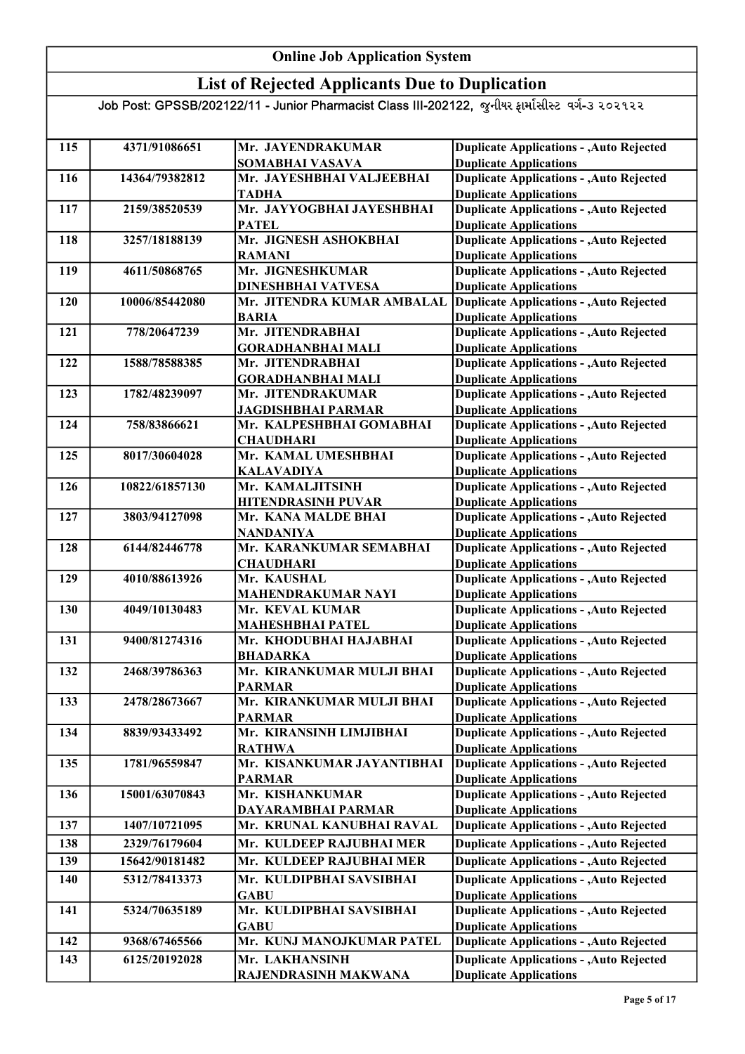## List of Rejected Applicants Due to Duplication

| 115 | 4371/91086651  | Mr. JAYENDRAKUMAR                         | <b>Duplicate Applications - , Auto Rejected</b>                                  |
|-----|----------------|-------------------------------------------|----------------------------------------------------------------------------------|
|     |                | SOMABHAI VASAVA                           | <b>Duplicate Applications</b>                                                    |
| 116 | 14364/79382812 | Mr. JAYESHBHAI VALJEEBHAI<br><b>TADHA</b> | <b>Duplicate Applications - , Auto Rejected</b><br><b>Duplicate Applications</b> |
| 117 | 2159/38520539  | Mr. JAYYOGBHAI JAYESHBHAI                 | <b>Duplicate Applications - , Auto Rejected</b>                                  |
|     |                | <b>PATEL</b>                              | <b>Duplicate Applications</b>                                                    |
| 118 | 3257/18188139  | Mr. JIGNESH ASHOKBHAI                     | <b>Duplicate Applications - , Auto Rejected</b>                                  |
|     |                | <b>RAMANI</b>                             | <b>Duplicate Applications</b>                                                    |
| 119 | 4611/50868765  | Mr. JIGNESHKUMAR                          | <b>Duplicate Applications - , Auto Rejected</b>                                  |
|     |                | <b>DINESHBHAI VATVESA</b>                 | <b>Duplicate Applications</b>                                                    |
| 120 | 10006/85442080 | Mr. JITENDRA KUMAR AMBALAL                | <b>Duplicate Applications - , Auto Rejected</b>                                  |
|     |                | <b>BARIA</b>                              | <b>Duplicate Applications</b>                                                    |
| 121 | 778/20647239   | Mr. JITENDRABHAI                          | <b>Duplicate Applications - , Auto Rejected</b>                                  |
|     |                | <b>GORADHANBHAI MALI</b>                  | <b>Duplicate Applications</b>                                                    |
| 122 | 1588/78588385  | Mr. JITENDRABHAI                          | <b>Duplicate Applications - , Auto Rejected</b>                                  |
|     |                | <b>GORADHANBHAI MALI</b>                  | <b>Duplicate Applications</b>                                                    |
| 123 | 1782/48239097  | Mr. JITENDRAKUMAR                         | <b>Duplicate Applications - , Auto Rejected</b>                                  |
|     |                | <b>JAGDISHBHAI PARMAR</b>                 | <b>Duplicate Applications</b>                                                    |
| 124 | 758/83866621   | Mr. KALPESHBHAI GOMABHAI                  | <b>Duplicate Applications - , Auto Rejected</b>                                  |
|     |                | <b>CHAUDHARI</b>                          | <b>Duplicate Applications</b>                                                    |
| 125 | 8017/30604028  | Mr. KAMAL UMESHBHAI                       | <b>Duplicate Applications - , Auto Rejected</b>                                  |
|     |                | <b>KALAVADIYA</b>                         | <b>Duplicate Applications</b>                                                    |
| 126 | 10822/61857130 | Mr. KAMALJITSINH                          | <b>Duplicate Applications - , Auto Rejected</b>                                  |
|     |                | <b>HITENDRASINH PUVAR</b>                 | <b>Duplicate Applications</b>                                                    |
| 127 | 3803/94127098  | Mr. KANA MALDE BHAI                       | <b>Duplicate Applications - , Auto Rejected</b>                                  |
|     |                | <b>NANDANIYA</b>                          | <b>Duplicate Applications</b>                                                    |
| 128 | 6144/82446778  | Mr. KARANKUMAR SEMABHAI                   | <b>Duplicate Applications - , Auto Rejected</b>                                  |
|     |                | <b>CHAUDHARI</b>                          | <b>Duplicate Applications</b>                                                    |
| 129 | 4010/88613926  | Mr. KAUSHAL                               | <b>Duplicate Applications - , Auto Rejected</b>                                  |
|     |                | <b>MAHENDRAKUMAR NAYI</b>                 | <b>Duplicate Applications</b>                                                    |
| 130 | 4049/10130483  | Mr. KEVAL KUMAR                           | <b>Duplicate Applications - , Auto Rejected</b>                                  |
|     |                | <b>MAHESHBHAI PATEL</b>                   | <b>Duplicate Applications</b>                                                    |
| 131 | 9400/81274316  | Mr. KHODUBHAI HAJABHAI<br><b>BHADARKA</b> | <b>Duplicate Applications - , Auto Rejected</b><br><b>Duplicate Applications</b> |
| 132 | 2468/39786363  | Mr. KIRANKUMAR MULJI BHAI                 |                                                                                  |
|     |                | <b>PARMAR</b>                             | <b>Duplicate Applications - , Auto Rejected</b><br><b>Duplicate Applications</b> |
| 133 | 2478/28673667  | Mr. KIRANKUMAR MULJI BHAI                 | <b>Duplicate Applications - , Auto Rejected</b>                                  |
|     |                | <b>PARMAR</b>                             | <b>Duplicate Applications</b>                                                    |
| 134 | 8839/93433492  | Mr. KIRANSINH LIMJIBHAI                   | <b>Duplicate Applications - , Auto Rejected</b>                                  |
|     |                | <b>RATHWA</b>                             | <b>Duplicate Applications</b>                                                    |
| 135 | 1781/96559847  | Mr. KISANKUMAR JAYANTIBHAI                | <b>Duplicate Applications - , Auto Rejected</b>                                  |
|     |                | <b>PARMAR</b>                             | <b>Duplicate Applications</b>                                                    |
| 136 | 15001/63070843 | Mr. KISHANKUMAR                           | <b>Duplicate Applications - , Auto Rejected</b>                                  |
|     |                | DAYARAMBHAI PARMAR                        | <b>Duplicate Applications</b>                                                    |
| 137 | 1407/10721095  | Mr. KRUNAL KANUBHAI RAVAL                 | <b>Duplicate Applications - , Auto Rejected</b>                                  |
| 138 | 2329/76179604  | Mr. KULDEEP RAJUBHAI MER                  | <b>Duplicate Applications - , Auto Rejected</b>                                  |
| 139 | 15642/90181482 | Mr. KULDEEP RAJUBHAI MER                  | <b>Duplicate Applications - , Auto Rejected</b>                                  |
| 140 | 5312/78413373  | Mr. KULDIPBHAI SAVSIBHAI                  | <b>Duplicate Applications - , Auto Rejected</b>                                  |
|     |                | <b>GABU</b>                               | <b>Duplicate Applications</b>                                                    |
| 141 | 5324/70635189  | Mr. KULDIPBHAI SAVSIBHAI                  | <b>Duplicate Applications - , Auto Rejected</b>                                  |
|     |                | <b>GABU</b>                               | <b>Duplicate Applications</b>                                                    |
| 142 | 9368/67465566  | Mr. KUNJ MANOJKUMAR PATEL                 | <b>Duplicate Applications - , Auto Rejected</b>                                  |
| 143 | 6125/20192028  | Mr. LAKHANSINH                            | <b>Duplicate Applications - , Auto Rejected</b>                                  |
|     |                | RAJENDRASINH MAKWANA                      | <b>Duplicate Applications</b>                                                    |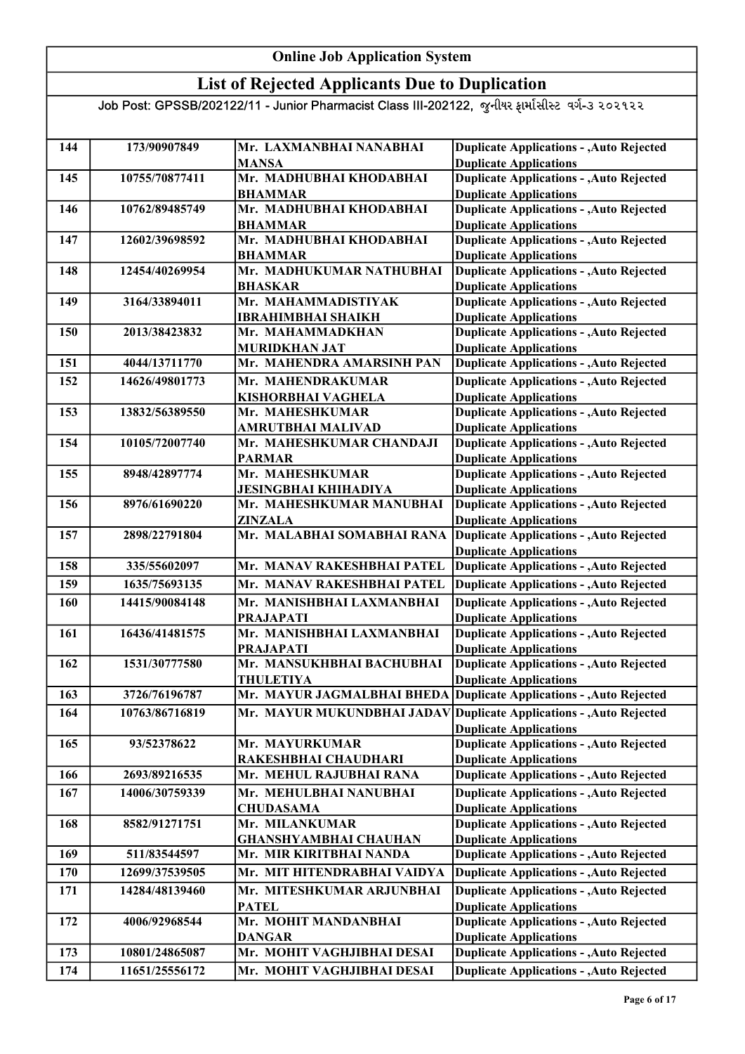### List of Rejected Applicants Due to Duplication

| 144<br>173/90907849<br>Mr. LAXMANBHAI NANABHAI<br><b>Duplicate Applications</b><br><b>MANSA</b><br><b>Duplicate Applications - , Auto Rejected</b><br>Mr. MADHUBHAI KHODABHAI<br>10755/70877411<br>145<br><b>Duplicate Applications</b><br><b>BHAMMAR</b><br><b>Duplicate Applications - , Auto Rejected</b><br>Mr. MADHUBHAI KHODABHAI<br>10762/89485749<br>146<br><b>Duplicate Applications</b><br><b>BHAMMAR</b><br>Duplicate Applications - , Auto Rejected<br>Mr. MADHUBHAI KHODABHAI<br>12602/39698592<br>147<br><b>Duplicate Applications</b><br><b>BHAMMAR</b><br><b>Duplicate Applications - , Auto Rejected</b><br>12454/40269954<br>Mr. MADHUKUMAR NATHUBHAI<br>148<br><b>Duplicate Applications</b><br><b>BHASKAR</b><br><b>Duplicate Applications - , Auto Rejected</b><br>3164/33894011<br>Mr. MAHAMMADISTIYAK<br>149<br><b>Duplicate Applications</b><br><b>IBRAHIMBHAI SHAIKH</b><br><b>Duplicate Applications - , Auto Rejected</b><br>150<br>2013/38423832<br>Mr. MAHAMMADKHAN<br><b>MURIDKHAN JAT</b><br><b>Duplicate Applications</b><br><b>Duplicate Applications - , Auto Rejected</b><br>4044/13711770<br>Mr. MAHENDRA AMARSINH PAN<br>151<br>Mr. MAHENDRAKUMAR<br><b>Duplicate Applications - , Auto Rejected</b><br>152<br>14626/49801773<br><b>Duplicate Applications</b><br>KISHORBHAI VAGHELA<br><b>Duplicate Applications - , Auto Rejected</b><br>153<br>Mr. MAHESHKUMAR<br>13832/56389550<br><b>Duplicate Applications</b><br>AMRUTBHAI MALIVAD<br><b>Duplicate Applications - , Auto Rejected</b><br>Mr. MAHESHKUMAR CHANDAJI<br>154<br>10105/72007740<br><b>Duplicate Applications</b><br><b>PARMAR</b><br><b>Duplicate Applications - , Auto Rejected</b><br>155<br>8948/42897774<br>Mr. MAHESHKUMAR<br><b>Duplicate Applications</b><br>JESINGBHAI KHIHADIYA<br><b>Duplicate Applications - , Auto Rejected</b><br>156<br>8976/61690220<br>Mr. MAHESHKUMAR MANUBHAI<br><b>Duplicate Applications</b><br>ZINZALA<br><b>Duplicate Applications - , Auto Rejected</b><br>Mr. MALABHAI SOMABHAI RANA<br>157<br>2898/22791804<br><b>Duplicate Applications</b><br><b>Duplicate Applications - , Auto Rejected</b><br>Mr. MANAV RAKESHBHAI PATEL<br>158<br>335/55602097<br><b>Duplicate Applications - , Auto Rejected</b><br>159<br>1635/75693135<br>Mr. MANAV RAKESHBHAI PATEL<br><b>Duplicate Applications - , Auto Rejected</b><br>Mr. MANISHBHAI LAXMANBHAI<br><b>160</b><br>14415/90084148<br><b>Duplicate Applications</b><br><b>PRAJAPATI</b><br>Mr. MANISHBHAI LAXMANBHAI<br><b>Duplicate Applications - , Auto Rejected</b><br>161<br>16436/41481575<br><b>Duplicate Applications</b><br><b>PRAJAPATI</b><br><b>Duplicate Applications - , Auto Rejected</b><br>Mr. MANSUKHBHAI BACHUBHAI<br>1531/30777580<br>162<br><b>THULETIYA</b><br><b>Duplicate Applications</b><br>Mr. MAYUR JAGMALBHAI BHEDA<br>Duplicate Applications - , Auto Rejected<br>163<br>3726/76196787<br>Mr. MAYUR MUKUNDBHAI JADAV Duplicate Applications - , Auto Rejected<br>164<br>10763/86716819<br><b>Duplicate Applications</b><br><b>Duplicate Applications - , Auto Rejected</b><br>93/52378622<br>Mr. MAYURKUMAR<br>165<br><b>Duplicate Applications</b><br>RAKESHBHAI CHAUDHARI<br><b>Duplicate Applications - , Auto Rejected</b><br>2693/89216535<br>Mr. MEHUL RAJUBHAI RANA<br>166<br>14006/30759339<br>Mr. MEHULBHAI NANUBHAI<br><b>Duplicate Applications - , Auto Rejected</b><br>167<br><b>Duplicate Applications</b><br><b>CHUDASAMA</b><br><b>Duplicate Applications - , Auto Rejected</b><br>168<br>8582/91271751<br>Mr. MILANKUMAR<br><b>Duplicate Applications</b><br>GHANSHYAMBHAI CHAUHAN<br><b>Duplicate Applications - , Auto Rejected</b><br>Mr. MIR KIRITBHAI NANDA<br>169<br>511/83544597<br><b>Duplicate Applications - , Auto Rejected</b><br>170<br>12699/37539505<br>Mr. MIT HITENDRABHAI VAIDYA<br><b>Duplicate Applications - , Auto Rejected</b><br>171<br>Mr. MITESHKUMAR ARJUNBHAI<br>14284/48139460<br><b>Duplicate Applications</b><br><b>PATEL</b><br><b>Duplicate Applications - , Auto Rejected</b><br>Mr. MOHIT MANDANBHAI<br>172<br>4006/92968544<br><b>Duplicate Applications</b><br><b>DANGAR</b><br>Mr. MOHIT VAGHJIBHAI DESAI<br><b>Duplicate Applications - , Auto Rejected</b><br>173<br>10801/24865087<br><b>Duplicate Applications - , Auto Rejected</b><br>174<br>11651/25556172<br>Mr. MOHIT VAGHJIBHAI DESAI |  |                                                 |
|---------------------------------------------------------------------------------------------------------------------------------------------------------------------------------------------------------------------------------------------------------------------------------------------------------------------------------------------------------------------------------------------------------------------------------------------------------------------------------------------------------------------------------------------------------------------------------------------------------------------------------------------------------------------------------------------------------------------------------------------------------------------------------------------------------------------------------------------------------------------------------------------------------------------------------------------------------------------------------------------------------------------------------------------------------------------------------------------------------------------------------------------------------------------------------------------------------------------------------------------------------------------------------------------------------------------------------------------------------------------------------------------------------------------------------------------------------------------------------------------------------------------------------------------------------------------------------------------------------------------------------------------------------------------------------------------------------------------------------------------------------------------------------------------------------------------------------------------------------------------------------------------------------------------------------------------------------------------------------------------------------------------------------------------------------------------------------------------------------------------------------------------------------------------------------------------------------------------------------------------------------------------------------------------------------------------------------------------------------------------------------------------------------------------------------------------------------------------------------------------------------------------------------------------------------------------------------------------------------------------------------------------------------------------------------------------------------------------------------------------------------------------------------------------------------------------------------------------------------------------------------------------------------------------------------------------------------------------------------------------------------------------------------------------------------------------------------------------------------------------------------------------------------------------------------------------------------------------------------------------------------------------------------------------------------------------------------------------------------------------------------------------------------------------------------------------------------------------------------------------------------------------------------------------------------------------------------------------------------------------------------------------------------------------------------------------------------------------------------------------------------------------------------------------------------------------------------------------------------------------------------------------------------------------------------------------------------------------------------------------------------------------------------------------------------------------------------------------------------------------------------------------------------------------------------------------------------------------------------------------------------------------------------------------------------------------------------------------------------------------------------|--|-------------------------------------------------|
|                                                                                                                                                                                                                                                                                                                                                                                                                                                                                                                                                                                                                                                                                                                                                                                                                                                                                                                                                                                                                                                                                                                                                                                                                                                                                                                                                                                                                                                                                                                                                                                                                                                                                                                                                                                                                                                                                                                                                                                                                                                                                                                                                                                                                                                                                                                                                                                                                                                                                                                                                                                                                                                                                                                                                                                                                                                                                                                                                                                                                                                                                                                                                                                                                                                                                                                                                                                                                                                                                                                                                                                                                                                                                                                                                                                                                                                                                                                                                                                                                                                                                                                                                                                                                                                                                                                                                                                 |  | <b>Duplicate Applications - , Auto Rejected</b> |
|                                                                                                                                                                                                                                                                                                                                                                                                                                                                                                                                                                                                                                                                                                                                                                                                                                                                                                                                                                                                                                                                                                                                                                                                                                                                                                                                                                                                                                                                                                                                                                                                                                                                                                                                                                                                                                                                                                                                                                                                                                                                                                                                                                                                                                                                                                                                                                                                                                                                                                                                                                                                                                                                                                                                                                                                                                                                                                                                                                                                                                                                                                                                                                                                                                                                                                                                                                                                                                                                                                                                                                                                                                                                                                                                                                                                                                                                                                                                                                                                                                                                                                                                                                                                                                                                                                                                                                                 |  |                                                 |
|                                                                                                                                                                                                                                                                                                                                                                                                                                                                                                                                                                                                                                                                                                                                                                                                                                                                                                                                                                                                                                                                                                                                                                                                                                                                                                                                                                                                                                                                                                                                                                                                                                                                                                                                                                                                                                                                                                                                                                                                                                                                                                                                                                                                                                                                                                                                                                                                                                                                                                                                                                                                                                                                                                                                                                                                                                                                                                                                                                                                                                                                                                                                                                                                                                                                                                                                                                                                                                                                                                                                                                                                                                                                                                                                                                                                                                                                                                                                                                                                                                                                                                                                                                                                                                                                                                                                                                                 |  |                                                 |
|                                                                                                                                                                                                                                                                                                                                                                                                                                                                                                                                                                                                                                                                                                                                                                                                                                                                                                                                                                                                                                                                                                                                                                                                                                                                                                                                                                                                                                                                                                                                                                                                                                                                                                                                                                                                                                                                                                                                                                                                                                                                                                                                                                                                                                                                                                                                                                                                                                                                                                                                                                                                                                                                                                                                                                                                                                                                                                                                                                                                                                                                                                                                                                                                                                                                                                                                                                                                                                                                                                                                                                                                                                                                                                                                                                                                                                                                                                                                                                                                                                                                                                                                                                                                                                                                                                                                                                                 |  |                                                 |
|                                                                                                                                                                                                                                                                                                                                                                                                                                                                                                                                                                                                                                                                                                                                                                                                                                                                                                                                                                                                                                                                                                                                                                                                                                                                                                                                                                                                                                                                                                                                                                                                                                                                                                                                                                                                                                                                                                                                                                                                                                                                                                                                                                                                                                                                                                                                                                                                                                                                                                                                                                                                                                                                                                                                                                                                                                                                                                                                                                                                                                                                                                                                                                                                                                                                                                                                                                                                                                                                                                                                                                                                                                                                                                                                                                                                                                                                                                                                                                                                                                                                                                                                                                                                                                                                                                                                                                                 |  |                                                 |
|                                                                                                                                                                                                                                                                                                                                                                                                                                                                                                                                                                                                                                                                                                                                                                                                                                                                                                                                                                                                                                                                                                                                                                                                                                                                                                                                                                                                                                                                                                                                                                                                                                                                                                                                                                                                                                                                                                                                                                                                                                                                                                                                                                                                                                                                                                                                                                                                                                                                                                                                                                                                                                                                                                                                                                                                                                                                                                                                                                                                                                                                                                                                                                                                                                                                                                                                                                                                                                                                                                                                                                                                                                                                                                                                                                                                                                                                                                                                                                                                                                                                                                                                                                                                                                                                                                                                                                                 |  |                                                 |
|                                                                                                                                                                                                                                                                                                                                                                                                                                                                                                                                                                                                                                                                                                                                                                                                                                                                                                                                                                                                                                                                                                                                                                                                                                                                                                                                                                                                                                                                                                                                                                                                                                                                                                                                                                                                                                                                                                                                                                                                                                                                                                                                                                                                                                                                                                                                                                                                                                                                                                                                                                                                                                                                                                                                                                                                                                                                                                                                                                                                                                                                                                                                                                                                                                                                                                                                                                                                                                                                                                                                                                                                                                                                                                                                                                                                                                                                                                                                                                                                                                                                                                                                                                                                                                                                                                                                                                                 |  |                                                 |
|                                                                                                                                                                                                                                                                                                                                                                                                                                                                                                                                                                                                                                                                                                                                                                                                                                                                                                                                                                                                                                                                                                                                                                                                                                                                                                                                                                                                                                                                                                                                                                                                                                                                                                                                                                                                                                                                                                                                                                                                                                                                                                                                                                                                                                                                                                                                                                                                                                                                                                                                                                                                                                                                                                                                                                                                                                                                                                                                                                                                                                                                                                                                                                                                                                                                                                                                                                                                                                                                                                                                                                                                                                                                                                                                                                                                                                                                                                                                                                                                                                                                                                                                                                                                                                                                                                                                                                                 |  |                                                 |
|                                                                                                                                                                                                                                                                                                                                                                                                                                                                                                                                                                                                                                                                                                                                                                                                                                                                                                                                                                                                                                                                                                                                                                                                                                                                                                                                                                                                                                                                                                                                                                                                                                                                                                                                                                                                                                                                                                                                                                                                                                                                                                                                                                                                                                                                                                                                                                                                                                                                                                                                                                                                                                                                                                                                                                                                                                                                                                                                                                                                                                                                                                                                                                                                                                                                                                                                                                                                                                                                                                                                                                                                                                                                                                                                                                                                                                                                                                                                                                                                                                                                                                                                                                                                                                                                                                                                                                                 |  |                                                 |
|                                                                                                                                                                                                                                                                                                                                                                                                                                                                                                                                                                                                                                                                                                                                                                                                                                                                                                                                                                                                                                                                                                                                                                                                                                                                                                                                                                                                                                                                                                                                                                                                                                                                                                                                                                                                                                                                                                                                                                                                                                                                                                                                                                                                                                                                                                                                                                                                                                                                                                                                                                                                                                                                                                                                                                                                                                                                                                                                                                                                                                                                                                                                                                                                                                                                                                                                                                                                                                                                                                                                                                                                                                                                                                                                                                                                                                                                                                                                                                                                                                                                                                                                                                                                                                                                                                                                                                                 |  |                                                 |
|                                                                                                                                                                                                                                                                                                                                                                                                                                                                                                                                                                                                                                                                                                                                                                                                                                                                                                                                                                                                                                                                                                                                                                                                                                                                                                                                                                                                                                                                                                                                                                                                                                                                                                                                                                                                                                                                                                                                                                                                                                                                                                                                                                                                                                                                                                                                                                                                                                                                                                                                                                                                                                                                                                                                                                                                                                                                                                                                                                                                                                                                                                                                                                                                                                                                                                                                                                                                                                                                                                                                                                                                                                                                                                                                                                                                                                                                                                                                                                                                                                                                                                                                                                                                                                                                                                                                                                                 |  |                                                 |
|                                                                                                                                                                                                                                                                                                                                                                                                                                                                                                                                                                                                                                                                                                                                                                                                                                                                                                                                                                                                                                                                                                                                                                                                                                                                                                                                                                                                                                                                                                                                                                                                                                                                                                                                                                                                                                                                                                                                                                                                                                                                                                                                                                                                                                                                                                                                                                                                                                                                                                                                                                                                                                                                                                                                                                                                                                                                                                                                                                                                                                                                                                                                                                                                                                                                                                                                                                                                                                                                                                                                                                                                                                                                                                                                                                                                                                                                                                                                                                                                                                                                                                                                                                                                                                                                                                                                                                                 |  |                                                 |
|                                                                                                                                                                                                                                                                                                                                                                                                                                                                                                                                                                                                                                                                                                                                                                                                                                                                                                                                                                                                                                                                                                                                                                                                                                                                                                                                                                                                                                                                                                                                                                                                                                                                                                                                                                                                                                                                                                                                                                                                                                                                                                                                                                                                                                                                                                                                                                                                                                                                                                                                                                                                                                                                                                                                                                                                                                                                                                                                                                                                                                                                                                                                                                                                                                                                                                                                                                                                                                                                                                                                                                                                                                                                                                                                                                                                                                                                                                                                                                                                                                                                                                                                                                                                                                                                                                                                                                                 |  |                                                 |
|                                                                                                                                                                                                                                                                                                                                                                                                                                                                                                                                                                                                                                                                                                                                                                                                                                                                                                                                                                                                                                                                                                                                                                                                                                                                                                                                                                                                                                                                                                                                                                                                                                                                                                                                                                                                                                                                                                                                                                                                                                                                                                                                                                                                                                                                                                                                                                                                                                                                                                                                                                                                                                                                                                                                                                                                                                                                                                                                                                                                                                                                                                                                                                                                                                                                                                                                                                                                                                                                                                                                                                                                                                                                                                                                                                                                                                                                                                                                                                                                                                                                                                                                                                                                                                                                                                                                                                                 |  |                                                 |
|                                                                                                                                                                                                                                                                                                                                                                                                                                                                                                                                                                                                                                                                                                                                                                                                                                                                                                                                                                                                                                                                                                                                                                                                                                                                                                                                                                                                                                                                                                                                                                                                                                                                                                                                                                                                                                                                                                                                                                                                                                                                                                                                                                                                                                                                                                                                                                                                                                                                                                                                                                                                                                                                                                                                                                                                                                                                                                                                                                                                                                                                                                                                                                                                                                                                                                                                                                                                                                                                                                                                                                                                                                                                                                                                                                                                                                                                                                                                                                                                                                                                                                                                                                                                                                                                                                                                                                                 |  |                                                 |
|                                                                                                                                                                                                                                                                                                                                                                                                                                                                                                                                                                                                                                                                                                                                                                                                                                                                                                                                                                                                                                                                                                                                                                                                                                                                                                                                                                                                                                                                                                                                                                                                                                                                                                                                                                                                                                                                                                                                                                                                                                                                                                                                                                                                                                                                                                                                                                                                                                                                                                                                                                                                                                                                                                                                                                                                                                                                                                                                                                                                                                                                                                                                                                                                                                                                                                                                                                                                                                                                                                                                                                                                                                                                                                                                                                                                                                                                                                                                                                                                                                                                                                                                                                                                                                                                                                                                                                                 |  |                                                 |
|                                                                                                                                                                                                                                                                                                                                                                                                                                                                                                                                                                                                                                                                                                                                                                                                                                                                                                                                                                                                                                                                                                                                                                                                                                                                                                                                                                                                                                                                                                                                                                                                                                                                                                                                                                                                                                                                                                                                                                                                                                                                                                                                                                                                                                                                                                                                                                                                                                                                                                                                                                                                                                                                                                                                                                                                                                                                                                                                                                                                                                                                                                                                                                                                                                                                                                                                                                                                                                                                                                                                                                                                                                                                                                                                                                                                                                                                                                                                                                                                                                                                                                                                                                                                                                                                                                                                                                                 |  |                                                 |
|                                                                                                                                                                                                                                                                                                                                                                                                                                                                                                                                                                                                                                                                                                                                                                                                                                                                                                                                                                                                                                                                                                                                                                                                                                                                                                                                                                                                                                                                                                                                                                                                                                                                                                                                                                                                                                                                                                                                                                                                                                                                                                                                                                                                                                                                                                                                                                                                                                                                                                                                                                                                                                                                                                                                                                                                                                                                                                                                                                                                                                                                                                                                                                                                                                                                                                                                                                                                                                                                                                                                                                                                                                                                                                                                                                                                                                                                                                                                                                                                                                                                                                                                                                                                                                                                                                                                                                                 |  |                                                 |
|                                                                                                                                                                                                                                                                                                                                                                                                                                                                                                                                                                                                                                                                                                                                                                                                                                                                                                                                                                                                                                                                                                                                                                                                                                                                                                                                                                                                                                                                                                                                                                                                                                                                                                                                                                                                                                                                                                                                                                                                                                                                                                                                                                                                                                                                                                                                                                                                                                                                                                                                                                                                                                                                                                                                                                                                                                                                                                                                                                                                                                                                                                                                                                                                                                                                                                                                                                                                                                                                                                                                                                                                                                                                                                                                                                                                                                                                                                                                                                                                                                                                                                                                                                                                                                                                                                                                                                                 |  |                                                 |
|                                                                                                                                                                                                                                                                                                                                                                                                                                                                                                                                                                                                                                                                                                                                                                                                                                                                                                                                                                                                                                                                                                                                                                                                                                                                                                                                                                                                                                                                                                                                                                                                                                                                                                                                                                                                                                                                                                                                                                                                                                                                                                                                                                                                                                                                                                                                                                                                                                                                                                                                                                                                                                                                                                                                                                                                                                                                                                                                                                                                                                                                                                                                                                                                                                                                                                                                                                                                                                                                                                                                                                                                                                                                                                                                                                                                                                                                                                                                                                                                                                                                                                                                                                                                                                                                                                                                                                                 |  |                                                 |
|                                                                                                                                                                                                                                                                                                                                                                                                                                                                                                                                                                                                                                                                                                                                                                                                                                                                                                                                                                                                                                                                                                                                                                                                                                                                                                                                                                                                                                                                                                                                                                                                                                                                                                                                                                                                                                                                                                                                                                                                                                                                                                                                                                                                                                                                                                                                                                                                                                                                                                                                                                                                                                                                                                                                                                                                                                                                                                                                                                                                                                                                                                                                                                                                                                                                                                                                                                                                                                                                                                                                                                                                                                                                                                                                                                                                                                                                                                                                                                                                                                                                                                                                                                                                                                                                                                                                                                                 |  |                                                 |
|                                                                                                                                                                                                                                                                                                                                                                                                                                                                                                                                                                                                                                                                                                                                                                                                                                                                                                                                                                                                                                                                                                                                                                                                                                                                                                                                                                                                                                                                                                                                                                                                                                                                                                                                                                                                                                                                                                                                                                                                                                                                                                                                                                                                                                                                                                                                                                                                                                                                                                                                                                                                                                                                                                                                                                                                                                                                                                                                                                                                                                                                                                                                                                                                                                                                                                                                                                                                                                                                                                                                                                                                                                                                                                                                                                                                                                                                                                                                                                                                                                                                                                                                                                                                                                                                                                                                                                                 |  |                                                 |
|                                                                                                                                                                                                                                                                                                                                                                                                                                                                                                                                                                                                                                                                                                                                                                                                                                                                                                                                                                                                                                                                                                                                                                                                                                                                                                                                                                                                                                                                                                                                                                                                                                                                                                                                                                                                                                                                                                                                                                                                                                                                                                                                                                                                                                                                                                                                                                                                                                                                                                                                                                                                                                                                                                                                                                                                                                                                                                                                                                                                                                                                                                                                                                                                                                                                                                                                                                                                                                                                                                                                                                                                                                                                                                                                                                                                                                                                                                                                                                                                                                                                                                                                                                                                                                                                                                                                                                                 |  |                                                 |
|                                                                                                                                                                                                                                                                                                                                                                                                                                                                                                                                                                                                                                                                                                                                                                                                                                                                                                                                                                                                                                                                                                                                                                                                                                                                                                                                                                                                                                                                                                                                                                                                                                                                                                                                                                                                                                                                                                                                                                                                                                                                                                                                                                                                                                                                                                                                                                                                                                                                                                                                                                                                                                                                                                                                                                                                                                                                                                                                                                                                                                                                                                                                                                                                                                                                                                                                                                                                                                                                                                                                                                                                                                                                                                                                                                                                                                                                                                                                                                                                                                                                                                                                                                                                                                                                                                                                                                                 |  |                                                 |
|                                                                                                                                                                                                                                                                                                                                                                                                                                                                                                                                                                                                                                                                                                                                                                                                                                                                                                                                                                                                                                                                                                                                                                                                                                                                                                                                                                                                                                                                                                                                                                                                                                                                                                                                                                                                                                                                                                                                                                                                                                                                                                                                                                                                                                                                                                                                                                                                                                                                                                                                                                                                                                                                                                                                                                                                                                                                                                                                                                                                                                                                                                                                                                                                                                                                                                                                                                                                                                                                                                                                                                                                                                                                                                                                                                                                                                                                                                                                                                                                                                                                                                                                                                                                                                                                                                                                                                                 |  |                                                 |
|                                                                                                                                                                                                                                                                                                                                                                                                                                                                                                                                                                                                                                                                                                                                                                                                                                                                                                                                                                                                                                                                                                                                                                                                                                                                                                                                                                                                                                                                                                                                                                                                                                                                                                                                                                                                                                                                                                                                                                                                                                                                                                                                                                                                                                                                                                                                                                                                                                                                                                                                                                                                                                                                                                                                                                                                                                                                                                                                                                                                                                                                                                                                                                                                                                                                                                                                                                                                                                                                                                                                                                                                                                                                                                                                                                                                                                                                                                                                                                                                                                                                                                                                                                                                                                                                                                                                                                                 |  |                                                 |
|                                                                                                                                                                                                                                                                                                                                                                                                                                                                                                                                                                                                                                                                                                                                                                                                                                                                                                                                                                                                                                                                                                                                                                                                                                                                                                                                                                                                                                                                                                                                                                                                                                                                                                                                                                                                                                                                                                                                                                                                                                                                                                                                                                                                                                                                                                                                                                                                                                                                                                                                                                                                                                                                                                                                                                                                                                                                                                                                                                                                                                                                                                                                                                                                                                                                                                                                                                                                                                                                                                                                                                                                                                                                                                                                                                                                                                                                                                                                                                                                                                                                                                                                                                                                                                                                                                                                                                                 |  |                                                 |
|                                                                                                                                                                                                                                                                                                                                                                                                                                                                                                                                                                                                                                                                                                                                                                                                                                                                                                                                                                                                                                                                                                                                                                                                                                                                                                                                                                                                                                                                                                                                                                                                                                                                                                                                                                                                                                                                                                                                                                                                                                                                                                                                                                                                                                                                                                                                                                                                                                                                                                                                                                                                                                                                                                                                                                                                                                                                                                                                                                                                                                                                                                                                                                                                                                                                                                                                                                                                                                                                                                                                                                                                                                                                                                                                                                                                                                                                                                                                                                                                                                                                                                                                                                                                                                                                                                                                                                                 |  |                                                 |
|                                                                                                                                                                                                                                                                                                                                                                                                                                                                                                                                                                                                                                                                                                                                                                                                                                                                                                                                                                                                                                                                                                                                                                                                                                                                                                                                                                                                                                                                                                                                                                                                                                                                                                                                                                                                                                                                                                                                                                                                                                                                                                                                                                                                                                                                                                                                                                                                                                                                                                                                                                                                                                                                                                                                                                                                                                                                                                                                                                                                                                                                                                                                                                                                                                                                                                                                                                                                                                                                                                                                                                                                                                                                                                                                                                                                                                                                                                                                                                                                                                                                                                                                                                                                                                                                                                                                                                                 |  |                                                 |
|                                                                                                                                                                                                                                                                                                                                                                                                                                                                                                                                                                                                                                                                                                                                                                                                                                                                                                                                                                                                                                                                                                                                                                                                                                                                                                                                                                                                                                                                                                                                                                                                                                                                                                                                                                                                                                                                                                                                                                                                                                                                                                                                                                                                                                                                                                                                                                                                                                                                                                                                                                                                                                                                                                                                                                                                                                                                                                                                                                                                                                                                                                                                                                                                                                                                                                                                                                                                                                                                                                                                                                                                                                                                                                                                                                                                                                                                                                                                                                                                                                                                                                                                                                                                                                                                                                                                                                                 |  |                                                 |
|                                                                                                                                                                                                                                                                                                                                                                                                                                                                                                                                                                                                                                                                                                                                                                                                                                                                                                                                                                                                                                                                                                                                                                                                                                                                                                                                                                                                                                                                                                                                                                                                                                                                                                                                                                                                                                                                                                                                                                                                                                                                                                                                                                                                                                                                                                                                                                                                                                                                                                                                                                                                                                                                                                                                                                                                                                                                                                                                                                                                                                                                                                                                                                                                                                                                                                                                                                                                                                                                                                                                                                                                                                                                                                                                                                                                                                                                                                                                                                                                                                                                                                                                                                                                                                                                                                                                                                                 |  |                                                 |
|                                                                                                                                                                                                                                                                                                                                                                                                                                                                                                                                                                                                                                                                                                                                                                                                                                                                                                                                                                                                                                                                                                                                                                                                                                                                                                                                                                                                                                                                                                                                                                                                                                                                                                                                                                                                                                                                                                                                                                                                                                                                                                                                                                                                                                                                                                                                                                                                                                                                                                                                                                                                                                                                                                                                                                                                                                                                                                                                                                                                                                                                                                                                                                                                                                                                                                                                                                                                                                                                                                                                                                                                                                                                                                                                                                                                                                                                                                                                                                                                                                                                                                                                                                                                                                                                                                                                                                                 |  |                                                 |
|                                                                                                                                                                                                                                                                                                                                                                                                                                                                                                                                                                                                                                                                                                                                                                                                                                                                                                                                                                                                                                                                                                                                                                                                                                                                                                                                                                                                                                                                                                                                                                                                                                                                                                                                                                                                                                                                                                                                                                                                                                                                                                                                                                                                                                                                                                                                                                                                                                                                                                                                                                                                                                                                                                                                                                                                                                                                                                                                                                                                                                                                                                                                                                                                                                                                                                                                                                                                                                                                                                                                                                                                                                                                                                                                                                                                                                                                                                                                                                                                                                                                                                                                                                                                                                                                                                                                                                                 |  |                                                 |
|                                                                                                                                                                                                                                                                                                                                                                                                                                                                                                                                                                                                                                                                                                                                                                                                                                                                                                                                                                                                                                                                                                                                                                                                                                                                                                                                                                                                                                                                                                                                                                                                                                                                                                                                                                                                                                                                                                                                                                                                                                                                                                                                                                                                                                                                                                                                                                                                                                                                                                                                                                                                                                                                                                                                                                                                                                                                                                                                                                                                                                                                                                                                                                                                                                                                                                                                                                                                                                                                                                                                                                                                                                                                                                                                                                                                                                                                                                                                                                                                                                                                                                                                                                                                                                                                                                                                                                                 |  |                                                 |
|                                                                                                                                                                                                                                                                                                                                                                                                                                                                                                                                                                                                                                                                                                                                                                                                                                                                                                                                                                                                                                                                                                                                                                                                                                                                                                                                                                                                                                                                                                                                                                                                                                                                                                                                                                                                                                                                                                                                                                                                                                                                                                                                                                                                                                                                                                                                                                                                                                                                                                                                                                                                                                                                                                                                                                                                                                                                                                                                                                                                                                                                                                                                                                                                                                                                                                                                                                                                                                                                                                                                                                                                                                                                                                                                                                                                                                                                                                                                                                                                                                                                                                                                                                                                                                                                                                                                                                                 |  |                                                 |
|                                                                                                                                                                                                                                                                                                                                                                                                                                                                                                                                                                                                                                                                                                                                                                                                                                                                                                                                                                                                                                                                                                                                                                                                                                                                                                                                                                                                                                                                                                                                                                                                                                                                                                                                                                                                                                                                                                                                                                                                                                                                                                                                                                                                                                                                                                                                                                                                                                                                                                                                                                                                                                                                                                                                                                                                                                                                                                                                                                                                                                                                                                                                                                                                                                                                                                                                                                                                                                                                                                                                                                                                                                                                                                                                                                                                                                                                                                                                                                                                                                                                                                                                                                                                                                                                                                                                                                                 |  |                                                 |
|                                                                                                                                                                                                                                                                                                                                                                                                                                                                                                                                                                                                                                                                                                                                                                                                                                                                                                                                                                                                                                                                                                                                                                                                                                                                                                                                                                                                                                                                                                                                                                                                                                                                                                                                                                                                                                                                                                                                                                                                                                                                                                                                                                                                                                                                                                                                                                                                                                                                                                                                                                                                                                                                                                                                                                                                                                                                                                                                                                                                                                                                                                                                                                                                                                                                                                                                                                                                                                                                                                                                                                                                                                                                                                                                                                                                                                                                                                                                                                                                                                                                                                                                                                                                                                                                                                                                                                                 |  |                                                 |
|                                                                                                                                                                                                                                                                                                                                                                                                                                                                                                                                                                                                                                                                                                                                                                                                                                                                                                                                                                                                                                                                                                                                                                                                                                                                                                                                                                                                                                                                                                                                                                                                                                                                                                                                                                                                                                                                                                                                                                                                                                                                                                                                                                                                                                                                                                                                                                                                                                                                                                                                                                                                                                                                                                                                                                                                                                                                                                                                                                                                                                                                                                                                                                                                                                                                                                                                                                                                                                                                                                                                                                                                                                                                                                                                                                                                                                                                                                                                                                                                                                                                                                                                                                                                                                                                                                                                                                                 |  |                                                 |
|                                                                                                                                                                                                                                                                                                                                                                                                                                                                                                                                                                                                                                                                                                                                                                                                                                                                                                                                                                                                                                                                                                                                                                                                                                                                                                                                                                                                                                                                                                                                                                                                                                                                                                                                                                                                                                                                                                                                                                                                                                                                                                                                                                                                                                                                                                                                                                                                                                                                                                                                                                                                                                                                                                                                                                                                                                                                                                                                                                                                                                                                                                                                                                                                                                                                                                                                                                                                                                                                                                                                                                                                                                                                                                                                                                                                                                                                                                                                                                                                                                                                                                                                                                                                                                                                                                                                                                                 |  |                                                 |
|                                                                                                                                                                                                                                                                                                                                                                                                                                                                                                                                                                                                                                                                                                                                                                                                                                                                                                                                                                                                                                                                                                                                                                                                                                                                                                                                                                                                                                                                                                                                                                                                                                                                                                                                                                                                                                                                                                                                                                                                                                                                                                                                                                                                                                                                                                                                                                                                                                                                                                                                                                                                                                                                                                                                                                                                                                                                                                                                                                                                                                                                                                                                                                                                                                                                                                                                                                                                                                                                                                                                                                                                                                                                                                                                                                                                                                                                                                                                                                                                                                                                                                                                                                                                                                                                                                                                                                                 |  |                                                 |
|                                                                                                                                                                                                                                                                                                                                                                                                                                                                                                                                                                                                                                                                                                                                                                                                                                                                                                                                                                                                                                                                                                                                                                                                                                                                                                                                                                                                                                                                                                                                                                                                                                                                                                                                                                                                                                                                                                                                                                                                                                                                                                                                                                                                                                                                                                                                                                                                                                                                                                                                                                                                                                                                                                                                                                                                                                                                                                                                                                                                                                                                                                                                                                                                                                                                                                                                                                                                                                                                                                                                                                                                                                                                                                                                                                                                                                                                                                                                                                                                                                                                                                                                                                                                                                                                                                                                                                                 |  |                                                 |
|                                                                                                                                                                                                                                                                                                                                                                                                                                                                                                                                                                                                                                                                                                                                                                                                                                                                                                                                                                                                                                                                                                                                                                                                                                                                                                                                                                                                                                                                                                                                                                                                                                                                                                                                                                                                                                                                                                                                                                                                                                                                                                                                                                                                                                                                                                                                                                                                                                                                                                                                                                                                                                                                                                                                                                                                                                                                                                                                                                                                                                                                                                                                                                                                                                                                                                                                                                                                                                                                                                                                                                                                                                                                                                                                                                                                                                                                                                                                                                                                                                                                                                                                                                                                                                                                                                                                                                                 |  |                                                 |
|                                                                                                                                                                                                                                                                                                                                                                                                                                                                                                                                                                                                                                                                                                                                                                                                                                                                                                                                                                                                                                                                                                                                                                                                                                                                                                                                                                                                                                                                                                                                                                                                                                                                                                                                                                                                                                                                                                                                                                                                                                                                                                                                                                                                                                                                                                                                                                                                                                                                                                                                                                                                                                                                                                                                                                                                                                                                                                                                                                                                                                                                                                                                                                                                                                                                                                                                                                                                                                                                                                                                                                                                                                                                                                                                                                                                                                                                                                                                                                                                                                                                                                                                                                                                                                                                                                                                                                                 |  |                                                 |
|                                                                                                                                                                                                                                                                                                                                                                                                                                                                                                                                                                                                                                                                                                                                                                                                                                                                                                                                                                                                                                                                                                                                                                                                                                                                                                                                                                                                                                                                                                                                                                                                                                                                                                                                                                                                                                                                                                                                                                                                                                                                                                                                                                                                                                                                                                                                                                                                                                                                                                                                                                                                                                                                                                                                                                                                                                                                                                                                                                                                                                                                                                                                                                                                                                                                                                                                                                                                                                                                                                                                                                                                                                                                                                                                                                                                                                                                                                                                                                                                                                                                                                                                                                                                                                                                                                                                                                                 |  |                                                 |
|                                                                                                                                                                                                                                                                                                                                                                                                                                                                                                                                                                                                                                                                                                                                                                                                                                                                                                                                                                                                                                                                                                                                                                                                                                                                                                                                                                                                                                                                                                                                                                                                                                                                                                                                                                                                                                                                                                                                                                                                                                                                                                                                                                                                                                                                                                                                                                                                                                                                                                                                                                                                                                                                                                                                                                                                                                                                                                                                                                                                                                                                                                                                                                                                                                                                                                                                                                                                                                                                                                                                                                                                                                                                                                                                                                                                                                                                                                                                                                                                                                                                                                                                                                                                                                                                                                                                                                                 |  |                                                 |
|                                                                                                                                                                                                                                                                                                                                                                                                                                                                                                                                                                                                                                                                                                                                                                                                                                                                                                                                                                                                                                                                                                                                                                                                                                                                                                                                                                                                                                                                                                                                                                                                                                                                                                                                                                                                                                                                                                                                                                                                                                                                                                                                                                                                                                                                                                                                                                                                                                                                                                                                                                                                                                                                                                                                                                                                                                                                                                                                                                                                                                                                                                                                                                                                                                                                                                                                                                                                                                                                                                                                                                                                                                                                                                                                                                                                                                                                                                                                                                                                                                                                                                                                                                                                                                                                                                                                                                                 |  |                                                 |
|                                                                                                                                                                                                                                                                                                                                                                                                                                                                                                                                                                                                                                                                                                                                                                                                                                                                                                                                                                                                                                                                                                                                                                                                                                                                                                                                                                                                                                                                                                                                                                                                                                                                                                                                                                                                                                                                                                                                                                                                                                                                                                                                                                                                                                                                                                                                                                                                                                                                                                                                                                                                                                                                                                                                                                                                                                                                                                                                                                                                                                                                                                                                                                                                                                                                                                                                                                                                                                                                                                                                                                                                                                                                                                                                                                                                                                                                                                                                                                                                                                                                                                                                                                                                                                                                                                                                                                                 |  |                                                 |
|                                                                                                                                                                                                                                                                                                                                                                                                                                                                                                                                                                                                                                                                                                                                                                                                                                                                                                                                                                                                                                                                                                                                                                                                                                                                                                                                                                                                                                                                                                                                                                                                                                                                                                                                                                                                                                                                                                                                                                                                                                                                                                                                                                                                                                                                                                                                                                                                                                                                                                                                                                                                                                                                                                                                                                                                                                                                                                                                                                                                                                                                                                                                                                                                                                                                                                                                                                                                                                                                                                                                                                                                                                                                                                                                                                                                                                                                                                                                                                                                                                                                                                                                                                                                                                                                                                                                                                                 |  |                                                 |
|                                                                                                                                                                                                                                                                                                                                                                                                                                                                                                                                                                                                                                                                                                                                                                                                                                                                                                                                                                                                                                                                                                                                                                                                                                                                                                                                                                                                                                                                                                                                                                                                                                                                                                                                                                                                                                                                                                                                                                                                                                                                                                                                                                                                                                                                                                                                                                                                                                                                                                                                                                                                                                                                                                                                                                                                                                                                                                                                                                                                                                                                                                                                                                                                                                                                                                                                                                                                                                                                                                                                                                                                                                                                                                                                                                                                                                                                                                                                                                                                                                                                                                                                                                                                                                                                                                                                                                                 |  |                                                 |
|                                                                                                                                                                                                                                                                                                                                                                                                                                                                                                                                                                                                                                                                                                                                                                                                                                                                                                                                                                                                                                                                                                                                                                                                                                                                                                                                                                                                                                                                                                                                                                                                                                                                                                                                                                                                                                                                                                                                                                                                                                                                                                                                                                                                                                                                                                                                                                                                                                                                                                                                                                                                                                                                                                                                                                                                                                                                                                                                                                                                                                                                                                                                                                                                                                                                                                                                                                                                                                                                                                                                                                                                                                                                                                                                                                                                                                                                                                                                                                                                                                                                                                                                                                                                                                                                                                                                                                                 |  |                                                 |
|                                                                                                                                                                                                                                                                                                                                                                                                                                                                                                                                                                                                                                                                                                                                                                                                                                                                                                                                                                                                                                                                                                                                                                                                                                                                                                                                                                                                                                                                                                                                                                                                                                                                                                                                                                                                                                                                                                                                                                                                                                                                                                                                                                                                                                                                                                                                                                                                                                                                                                                                                                                                                                                                                                                                                                                                                                                                                                                                                                                                                                                                                                                                                                                                                                                                                                                                                                                                                                                                                                                                                                                                                                                                                                                                                                                                                                                                                                                                                                                                                                                                                                                                                                                                                                                                                                                                                                                 |  |                                                 |
|                                                                                                                                                                                                                                                                                                                                                                                                                                                                                                                                                                                                                                                                                                                                                                                                                                                                                                                                                                                                                                                                                                                                                                                                                                                                                                                                                                                                                                                                                                                                                                                                                                                                                                                                                                                                                                                                                                                                                                                                                                                                                                                                                                                                                                                                                                                                                                                                                                                                                                                                                                                                                                                                                                                                                                                                                                                                                                                                                                                                                                                                                                                                                                                                                                                                                                                                                                                                                                                                                                                                                                                                                                                                                                                                                                                                                                                                                                                                                                                                                                                                                                                                                                                                                                                                                                                                                                                 |  |                                                 |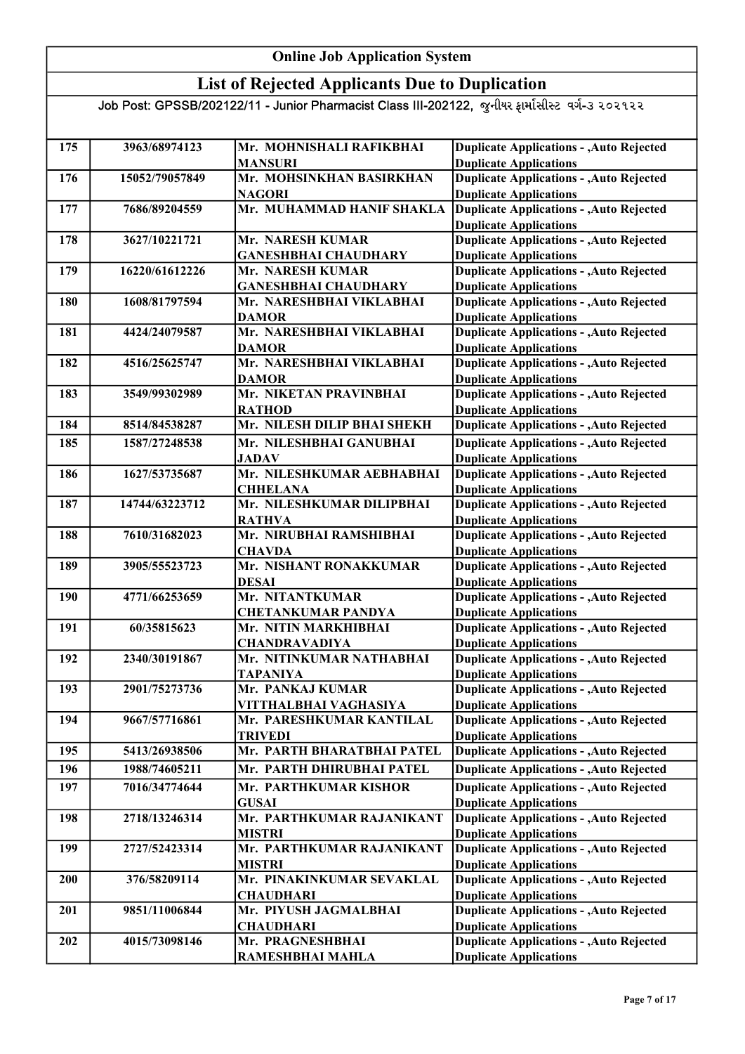## List of Rejected Applicants Due to Duplication

| 175 | 3963/68974123  | Mr. MOHNISHALI RAFIKBHAI                   |                                                                                  |
|-----|----------------|--------------------------------------------|----------------------------------------------------------------------------------|
|     |                | <b>MANSURI</b>                             | <b>Duplicate Applications - , Auto Rejected</b><br><b>Duplicate Applications</b> |
| 176 | 15052/79057849 | Mr. MOHSINKHAN BASIRKHAN                   | <b>Duplicate Applications - , Auto Rejected</b>                                  |
|     |                | <b>NAGORI</b>                              | <b>Duplicate Applications</b>                                                    |
| 177 | 7686/89204559  | Mr. MUHAMMAD HANIF SHAKLA                  | <b>Duplicate Applications - , Auto Rejected</b>                                  |
|     |                |                                            | <b>Duplicate Applications</b>                                                    |
| 178 | 3627/10221721  | Mr. NARESH KUMAR                           | <b>Duplicate Applications - , Auto Rejected</b>                                  |
|     |                | <b>GANESHBHAI CHAUDHARY</b>                | <b>Duplicate Applications</b>                                                    |
| 179 | 16220/61612226 | Mr. NARESH KUMAR                           | <b>Duplicate Applications - , Auto Rejected</b>                                  |
|     |                | <b>GANESHBHAI CHAUDHARY</b>                | <b>Duplicate Applications</b>                                                    |
| 180 | 1608/81797594  | Mr. NARESHBHAI VIKLABHAI                   | <b>Duplicate Applications - , Auto Rejected</b>                                  |
|     |                | <b>DAMOR</b>                               | <b>Duplicate Applications</b>                                                    |
| 181 | 4424/24079587  | Mr. NARESHBHAI VIKLABHAI                   | <b>Duplicate Applications - , Auto Rejected</b>                                  |
|     |                | <b>DAMOR</b>                               | <b>Duplicate Applications</b>                                                    |
| 182 | 4516/25625747  | Mr. NARESHBHAI VIKLABHAI                   | <b>Duplicate Applications - , Auto Rejected</b>                                  |
|     |                | <b>DAMOR</b>                               | <b>Duplicate Applications</b>                                                    |
| 183 | 3549/99302989  | Mr. NIKETAN PRAVINBHAI                     | <b>Duplicate Applications - , Auto Rejected</b>                                  |
|     |                | <b>RATHOD</b>                              | <b>Duplicate Applications</b>                                                    |
| 184 | 8514/84538287  | Mr. NILESH DILIP BHAI SHEKH                | <b>Duplicate Applications - , Auto Rejected</b>                                  |
| 185 | 1587/27248538  | Mr. NILESHBHAI GANUBHAI                    | <b>Duplicate Applications - , Auto Rejected</b>                                  |
|     |                | <b>JADAV</b>                               | <b>Duplicate Applications</b>                                                    |
| 186 | 1627/53735687  | Mr. NILESHKUMAR AEBHABHAI                  | <b>Duplicate Applications - , Auto Rejected</b>                                  |
|     |                | <b>CHHELANA</b>                            | <b>Duplicate Applications</b>                                                    |
| 187 | 14744/63223712 | Mr. NILESHKUMAR DILIPBHAI                  | <b>Duplicate Applications - , Auto Rejected</b>                                  |
|     |                | <b>RATHVA</b>                              | <b>Duplicate Applications</b>                                                    |
| 188 | 7610/31682023  | Mr. NIRUBHAI RAMSHIBHAI                    | <b>Duplicate Applications - , Auto Rejected</b>                                  |
|     |                | <b>CHAVDA</b>                              | <b>Duplicate Applications</b>                                                    |
| 189 | 3905/55523723  | Mr. NISHANT RONAKKUMAR                     | <b>Duplicate Applications - , Auto Rejected</b>                                  |
|     |                | <b>DESAI</b>                               | <b>Duplicate Applications</b>                                                    |
| 190 | 4771/66253659  | Mr. NITANTKUMAR                            | <b>Duplicate Applications - , Auto Rejected</b>                                  |
|     |                | <b>CHETANKUMAR PANDYA</b>                  | <b>Duplicate Applications</b>                                                    |
| 191 | 60/35815623    | Mr. NITIN MARKHIBHAI                       | <b>Duplicate Applications - , Auto Rejected</b>                                  |
|     |                | <b>CHANDRAVADIYA</b>                       | <b>Duplicate Applications</b>                                                    |
| 192 | 2340/30191867  | Mr. NITINKUMAR NATHABHAI                   | <b>Duplicate Applications - , Auto Rejected</b>                                  |
|     |                | <b>TAPANIYA</b>                            | <b>Duplicate Applications</b>                                                    |
| 193 | 2901/75273736  | Mr. PANKAJ KUMAR                           | <b>Duplicate Applications - , Auto Rejected</b>                                  |
|     |                | VITTHALBHAI VAGHASIYA                      | <b>Duplicate Applications</b>                                                    |
| 194 | 9667/57716861  | Mr. PARESHKUMAR KANTILAL                   | <b>Duplicate Applications - , Auto Rejected</b>                                  |
|     |                | <b>TRIVEDI</b>                             | <b>Duplicate Applications</b>                                                    |
| 195 | 5413/26938506  | Mr. PARTH BHARATBHAI PATEL                 | <b>Duplicate Applications - , Auto Rejected</b>                                  |
| 196 | 1988/74605211  | Mr. PARTH DHIRUBHAI PATEL                  | <b>Duplicate Applications - , Auto Rejected</b>                                  |
| 197 | 7016/34774644  | Mr. PARTHKUMAR KISHOR                      | <b>Duplicate Applications - , Auto Rejected</b>                                  |
|     |                | <b>GUSAI</b>                               | <b>Duplicate Applications</b>                                                    |
| 198 | 2718/13246314  | Mr. PARTHKUMAR RAJANIKANT                  | <b>Duplicate Applications - , Auto Rejected</b>                                  |
|     |                | <b>MISTRI</b>                              | <b>Duplicate Applications</b>                                                    |
| 199 | 2727/52423314  | Mr. PARTHKUMAR RAJANIKANT<br><b>MISTRI</b> | <b>Duplicate Applications - , Auto Rejected</b><br><b>Duplicate Applications</b> |
| 200 | 376/58209114   | Mr. PINAKINKUMAR SEVAKLAL                  | <b>Duplicate Applications - , Auto Rejected</b>                                  |
|     |                | <b>CHAUDHARI</b>                           | <b>Duplicate Applications</b>                                                    |
| 201 | 9851/11006844  | Mr. PIYUSH JAGMALBHAI                      | <b>Duplicate Applications - , Auto Rejected</b>                                  |
|     |                | <b>CHAUDHARI</b>                           | <b>Duplicate Applications</b>                                                    |
| 202 | 4015/73098146  | Mr. PRAGNESHBHAI                           | <b>Duplicate Applications - , Auto Rejected</b>                                  |
|     |                | RAMESHBHAI MAHLA                           | <b>Duplicate Applications</b>                                                    |
|     |                |                                            |                                                                                  |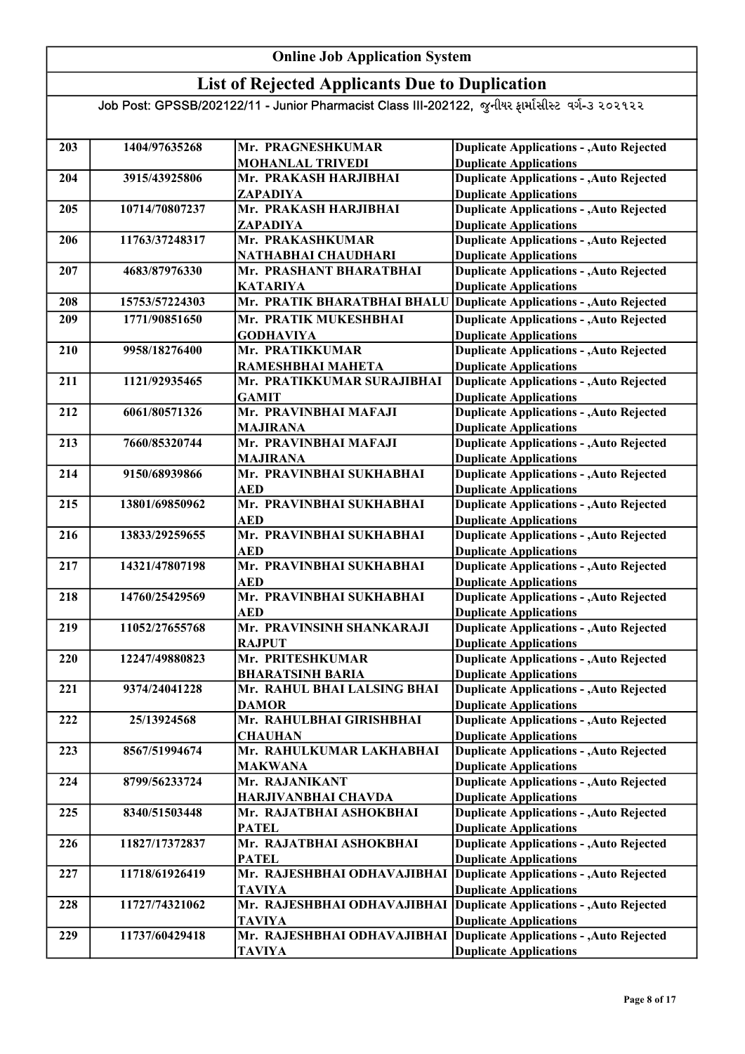### List of Rejected Applicants Due to Duplication

| 203 | 1404/97635268  | Mr. PRAGNESHKUMAR                           | <b>Duplicate Applications - , Auto Rejected</b> |
|-----|----------------|---------------------------------------------|-------------------------------------------------|
|     |                | <b>MOHANLAL TRIVEDI</b>                     | <b>Duplicate Applications</b>                   |
| 204 | 3915/43925806  | Mr. PRAKASH HARJIBHAI                       | <b>Duplicate Applications - , Auto Rejected</b> |
|     |                | ZAPADIYA                                    | <b>Duplicate Applications</b>                   |
| 205 | 10714/70807237 | Mr. PRAKASH HARJIBHAI                       | <b>Duplicate Applications - , Auto Rejected</b> |
|     |                | ZAPADIYA                                    | <b>Duplicate Applications</b>                   |
| 206 | 11763/37248317 | Mr. PRAKASHKUMAR                            | <b>Duplicate Applications - , Auto Rejected</b> |
|     |                | NATHABHAI CHAUDHARI                         | <b>Duplicate Applications</b>                   |
| 207 | 4683/87976330  | Mr. PRASHANT BHARATBHAI                     | <b>Duplicate Applications - , Auto Rejected</b> |
|     |                | <b>KATARIYA</b>                             | <b>Duplicate Applications</b>                   |
| 208 | 15753/57224303 | Mr. PRATIK BHARATBHAI BHALU                 | <b>Duplicate Applications - , Auto Rejected</b> |
| 209 | 1771/90851650  | Mr. PRATIK MUKESHBHAI                       | <b>Duplicate Applications - , Auto Rejected</b> |
|     |                | <b>GODHAVIYA</b>                            | <b>Duplicate Applications</b>                   |
| 210 | 9958/18276400  | Mr. PRATIKKUMAR                             | <b>Duplicate Applications - , Auto Rejected</b> |
|     |                | RAMESHBHAI MAHETA                           | <b>Duplicate Applications</b>                   |
| 211 | 1121/92935465  | Mr. PRATIKKUMAR SURAJIBHAI                  | <b>Duplicate Applications - , Auto Rejected</b> |
|     |                | <b>GAMIT</b>                                | <b>Duplicate Applications</b>                   |
| 212 | 6061/80571326  | Mr. PRAVINBHAI MAFAJI                       | <b>Duplicate Applications - , Auto Rejected</b> |
|     |                | <b>MAJIRANA</b>                             | <b>Duplicate Applications</b>                   |
| 213 | 7660/85320744  | Mr. PRAVINBHAI MAFAJI                       | <b>Duplicate Applications - , Auto Rejected</b> |
|     |                | <b>MAJIRANA</b>                             | <b>Duplicate Applications</b>                   |
| 214 | 9150/68939866  | Mr. PRAVINBHAI SUKHABHAI                    | <b>Duplicate Applications - , Auto Rejected</b> |
|     |                | AED                                         | <b>Duplicate Applications</b>                   |
| 215 | 13801/69850962 | Mr. PRAVINBHAI SUKHABHAI                    | <b>Duplicate Applications - , Auto Rejected</b> |
|     |                | <b>AED</b>                                  | <b>Duplicate Applications</b>                   |
| 216 | 13833/29259655 | Mr. PRAVINBHAI SUKHABHAI                    | <b>Duplicate Applications - , Auto Rejected</b> |
|     |                | <b>AED</b>                                  | <b>Duplicate Applications</b>                   |
| 217 | 14321/47807198 | Mr. PRAVINBHAI SUKHABHAI                    | <b>Duplicate Applications - , Auto Rejected</b> |
|     |                | <b>AED</b>                                  | <b>Duplicate Applications</b>                   |
| 218 | 14760/25429569 | Mr. PRAVINBHAI SUKHABHAI                    | <b>Duplicate Applications - , Auto Rejected</b> |
|     |                | <b>AED</b>                                  | <b>Duplicate Applications</b>                   |
| 219 | 11052/27655768 | Mr. PRAVINSINH SHANKARAJI                   | <b>Duplicate Applications - , Auto Rejected</b> |
|     |                | <b>RAJPUT</b>                               | <b>Duplicate Applications</b>                   |
| 220 | 12247/49880823 | Mr. PRITESHKUMAR                            | <b>Duplicate Applications - , Auto Rejected</b> |
|     |                | <b>BHARATSINH BARIA</b>                     | <b>Duplicate Applications</b>                   |
| 221 | 9374/24041228  | Mr. RAHUL BHAI LALSING BHAI                 | <b>Duplicate Applications - , Auto Rejected</b> |
|     |                | <b>DAMOR</b>                                | <b>Duplicate Applications</b>                   |
| 222 | 25/13924568    | Mr. RAHULBHAI GIRISHBHAI                    | <b>Duplicate Applications - , Auto Rejected</b> |
|     |                | <b>CHAUHAN</b>                              | <b>Duplicate Applications</b>                   |
| 223 | 8567/51994674  | Mr. RAHULKUMAR LAKHABHAI                    | <b>Duplicate Applications - , Auto Rejected</b> |
|     |                | <b>MAKWANA</b>                              | <b>Duplicate Applications</b>                   |
| 224 | 8799/56233724  | Mr. RAJANIKANT                              | <b>Duplicate Applications - , Auto Rejected</b> |
|     |                | HARJIVANBHAI CHAVDA                         | <b>Duplicate Applications</b>                   |
| 225 | 8340/51503448  | Mr. RAJATBHAI ASHOKBHAI                     | <b>Duplicate Applications - , Auto Rejected</b> |
|     |                | <b>PATEL</b>                                | <b>Duplicate Applications</b>                   |
| 226 | 11827/17372837 | Mr. RAJATBHAI ASHOKBHAI                     | <b>Duplicate Applications - , Auto Rejected</b> |
|     | 11718/61926419 | <b>PATEL</b><br>Mr. RAJESHBHAI ODHAVAJIBHAI | <b>Duplicate Applications</b>                   |
| 227 |                |                                             | Duplicate Applications - , Auto Rejected        |
|     |                | <b>TAVIYA</b>                               | <b>Duplicate Applications</b>                   |
| 228 | 11727/74321062 | Mr. RAJESHBHAI ODHAVAJIBHAI                 | Duplicate Applications - , Auto Rejected        |
|     |                | <b>TAVIYA</b>                               | <b>Duplicate Applications</b>                   |
| 229 | 11737/60429418 | Mr. RAJESHBHAI ODHAVAJIBHAI                 | Duplicate Applications - , Auto Rejected        |
|     |                | <b>TAVIYA</b>                               | <b>Duplicate Applications</b>                   |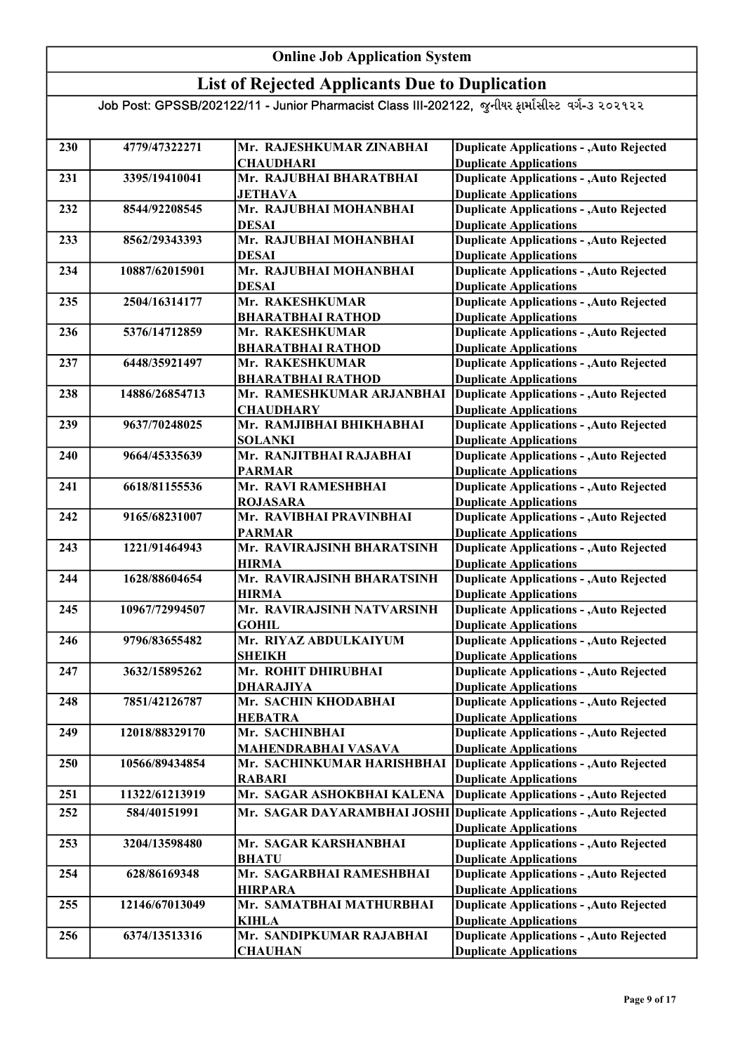### List of Rejected Applicants Due to Duplication

| 230 | 4779/47322271  | Mr. RAJESHKUMAR ZINABHAI    | <b>Duplicate Applications - , Auto Rejected</b> |
|-----|----------------|-----------------------------|-------------------------------------------------|
|     |                | <b>CHAUDHARI</b>            | <b>Duplicate Applications</b>                   |
| 231 | 3395/19410041  | Mr. RAJUBHAI BHARATBHAI     | <b>Duplicate Applications - , Auto Rejected</b> |
|     |                | <b>JETHAVA</b>              | <b>Duplicate Applications</b>                   |
| 232 | 8544/92208545  | Mr. RAJUBHAI MOHANBHAI      | <b>Duplicate Applications - , Auto Rejected</b> |
|     |                | <b>DESAI</b>                | <b>Duplicate Applications</b>                   |
| 233 | 8562/29343393  | Mr. RAJUBHAI MOHANBHAI      | <b>Duplicate Applications - , Auto Rejected</b> |
|     |                | <b>DESAI</b>                | <b>Duplicate Applications</b>                   |
| 234 | 10887/62015901 | Mr. RAJUBHAI MOHANBHAI      | <b>Duplicate Applications - , Auto Rejected</b> |
|     |                | <b>DESAI</b>                | <b>Duplicate Applications</b>                   |
| 235 | 2504/16314177  | Mr. RAKESHKUMAR             | <b>Duplicate Applications - , Auto Rejected</b> |
|     |                | <b>BHARATBHAI RATHOD</b>    | <b>Duplicate Applications</b>                   |
| 236 | 5376/14712859  | Mr. RAKESHKUMAR             | <b>Duplicate Applications - , Auto Rejected</b> |
|     |                | <b>BHARATBHAI RATHOD</b>    | <b>Duplicate Applications</b>                   |
| 237 | 6448/35921497  | Mr. RAKESHKUMAR             | <b>Duplicate Applications - , Auto Rejected</b> |
|     |                | <b>BHARATBHAI RATHOD</b>    | <b>Duplicate Applications</b>                   |
| 238 | 14886/26854713 | Mr. RAMESHKUMAR ARJANBHAI   | <b>Duplicate Applications - , Auto Rejected</b> |
|     |                | <b>CHAUDHARY</b>            | <b>Duplicate Applications</b>                   |
| 239 | 9637/70248025  | Mr. RAMJIBHAI BHIKHABHAI    | <b>Duplicate Applications - , Auto Rejected</b> |
|     |                | <b>SOLANKI</b>              | <b>Duplicate Applications</b>                   |
| 240 | 9664/45335639  | Mr. RANJITBHAI RAJABHAI     | <b>Duplicate Applications - , Auto Rejected</b> |
|     |                | <b>PARMAR</b>               | <b>Duplicate Applications</b>                   |
| 241 | 6618/81155536  | Mr. RAVI RAMESHBHAI         | <b>Duplicate Applications - , Auto Rejected</b> |
|     |                | <b>ROJASARA</b>             | <b>Duplicate Applications</b>                   |
| 242 | 9165/68231007  | Mr. RAVIBHAI PRAVINBHAI     | <b>Duplicate Applications - , Auto Rejected</b> |
|     |                | <b>PARMAR</b>               | <b>Duplicate Applications</b>                   |
| 243 | 1221/91464943  | Mr. RAVIRAJSINH BHARATSINH  | Duplicate Applications - , Auto Rejected        |
|     |                | <b>HIRMA</b>                | <b>Duplicate Applications</b>                   |
| 244 | 1628/88604654  | Mr. RAVIRAJSINH BHARATSINH  | <b>Duplicate Applications - , Auto Rejected</b> |
|     |                | <b>HIRMA</b>                | <b>Duplicate Applications</b>                   |
| 245 | 10967/72994507 | Mr. RAVIRAJSINH NATVARSINH  | <b>Duplicate Applications - , Auto Rejected</b> |
|     |                | <b>GOHIL</b>                | <b>Duplicate Applications</b>                   |
| 246 | 9796/83655482  | Mr. RIYAZ ABDULKAIYUM       | <b>Duplicate Applications - , Auto Rejected</b> |
|     |                | <b>SHEIKH</b>               | <b>Duplicate Applications</b>                   |
| 247 | 3632/15895262  | Mr. ROHIT DHIRUBHAI         | <b>Duplicate Applications - , Auto Rejected</b> |
|     |                | <b>DHARAJIYA</b>            | <b>Duplicate Applications</b>                   |
| 248 | 7851/42126787  | Mr. SACHIN KHODABHAI        | <b>Duplicate Applications - , Auto Rejected</b> |
|     |                | <b>HEBATRA</b>              | <b>Duplicate Applications</b>                   |
| 249 | 12018/88329170 | Mr. SACHINBHAI              | <b>Duplicate Applications - , Auto Rejected</b> |
|     |                | <b>MAHENDRABHAI VASAVA</b>  | <b>Duplicate Applications</b>                   |
| 250 | 10566/89434854 | Mr. SACHINKUMAR HARISHBHAI  | Duplicate Applications - , Auto Rejected        |
|     |                | <b>RABARI</b>               | <b>Duplicate Applications</b>                   |
| 251 | 11322/61213919 | Mr. SAGAR ASHOKBHAI KALENA  | Duplicate Applications - , Auto Rejected        |
| 252 | 584/40151991   | Mr. SAGAR DAYARAMBHAI JOSHI | <b>Duplicate Applications - , Auto Rejected</b> |
|     |                |                             | <b>Duplicate Applications</b>                   |
| 253 | 3204/13598480  | Mr. SAGAR KARSHANBHAI       | <b>Duplicate Applications - , Auto Rejected</b> |
|     |                | <b>BHATU</b>                | <b>Duplicate Applications</b>                   |
| 254 | 628/86169348   | Mr. SAGARBHAI RAMESHBHAI    | <b>Duplicate Applications - , Auto Rejected</b> |
|     |                | <b>HIRPARA</b>              | <b>Duplicate Applications</b>                   |
| 255 | 12146/67013049 | Mr. SAMATBHAI MATHURBHAI    | <b>Duplicate Applications - , Auto Rejected</b> |
|     |                | <b>KIHLA</b>                | <b>Duplicate Applications</b>                   |
| 256 | 6374/13513316  | Mr. SANDIPKUMAR RAJABHAI    | <b>Duplicate Applications - , Auto Rejected</b> |
|     |                | <b>CHAUHAN</b>              | <b>Duplicate Applications</b>                   |
|     |                |                             |                                                 |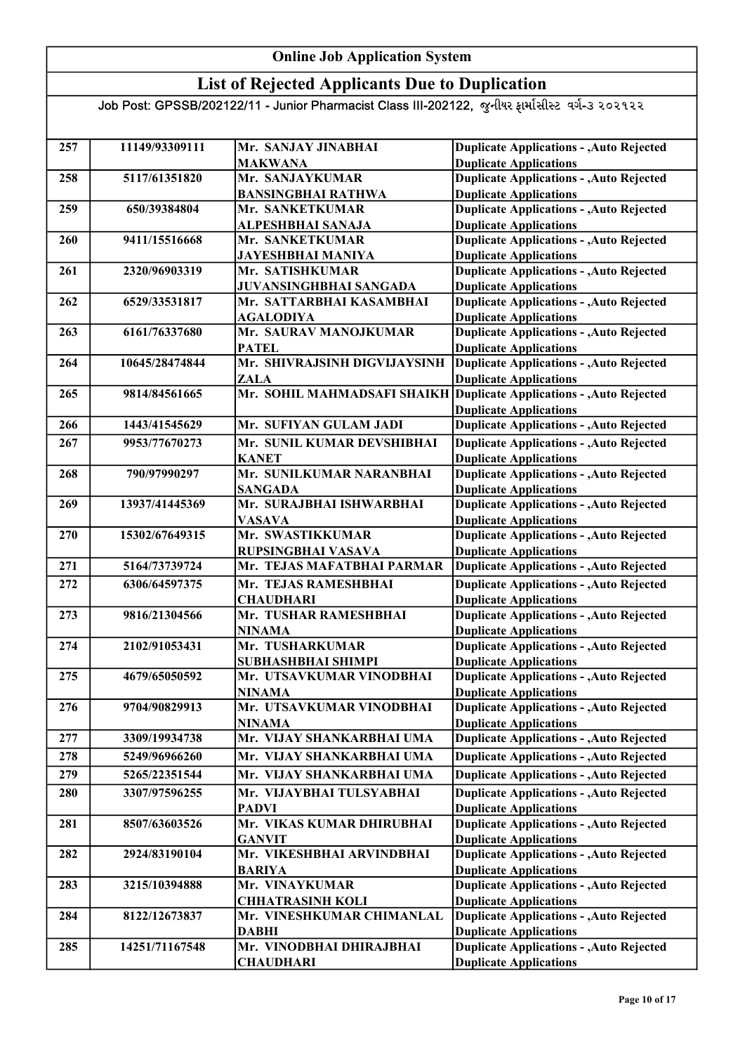### List of Rejected Applicants Due to Duplication

| 257 | 11149/93309111 | Mr. SANJAY JINABHAI          | <b>Duplicate Applications - , Auto Rejected</b> |
|-----|----------------|------------------------------|-------------------------------------------------|
|     |                | <b>MAKWANA</b>               | <b>Duplicate Applications</b>                   |
| 258 | 5117/61351820  | Mr. SANJAYKUMAR              | <b>Duplicate Applications - , Auto Rejected</b> |
|     |                | <b>BANSINGBHAI RATHWA</b>    | <b>Duplicate Applications</b>                   |
| 259 | 650/39384804   | Mr. SANKETKUMAR              | <b>Duplicate Applications - , Auto Rejected</b> |
|     |                | ALPESHBHAI SANAJA            | <b>Duplicate Applications</b>                   |
| 260 | 9411/15516668  | Mr. SANKETKUMAR              | <b>Duplicate Applications - , Auto Rejected</b> |
|     |                | <b>JAYESHBHAI MANIYA</b>     | <b>Duplicate Applications</b>                   |
| 261 | 2320/96903319  | Mr. SATISHKUMAR              | Duplicate Applications - , Auto Rejected        |
|     |                | JUVANSINGHBHAI SANGADA       | <b>Duplicate Applications</b>                   |
| 262 | 6529/33531817  | Mr. SATTARBHAI KASAMBHAI     | <b>Duplicate Applications - , Auto Rejected</b> |
|     |                | <b>AGALODIYA</b>             | <b>Duplicate Applications</b>                   |
| 263 | 6161/76337680  | Mr. SAURAV MANOJKUMAR        | <b>Duplicate Applications - , Auto Rejected</b> |
|     |                | <b>PATEL</b>                 | <b>Duplicate Applications</b>                   |
| 264 | 10645/28474844 | Mr. SHIVRAJSINH DIGVIJAYSINH | <b>Duplicate Applications - , Auto Rejected</b> |
|     |                | <b>ZALA</b>                  | <b>Duplicate Applications</b>                   |
| 265 | 9814/84561665  | Mr. SOHIL MAHMADSAFI SHAIKH  | Duplicate Applications - , Auto Rejected        |
|     |                |                              | <b>Duplicate Applications</b>                   |
| 266 | 1443/41545629  | Mr. SUFIYAN GULAM JADI       | <b>Duplicate Applications - , Auto Rejected</b> |
| 267 | 9953/77670273  | Mr. SUNIL KUMAR DEVSHIBHAI   | <b>Duplicate Applications - , Auto Rejected</b> |
|     |                | <b>KANET</b>                 | <b>Duplicate Applications</b>                   |
| 268 | 790/97990297   | Mr. SUNILKUMAR NARANBHAI     | <b>Duplicate Applications - , Auto Rejected</b> |
|     |                | <b>SANGADA</b>               | <b>Duplicate Applications</b>                   |
| 269 | 13937/41445369 | Mr. SURAJBHAI ISHWARBHAI     | <b>Duplicate Applications - , Auto Rejected</b> |
|     |                | <b>VASAVA</b>                | <b>Duplicate Applications</b>                   |
| 270 | 15302/67649315 | Mr. SWASTIKKUMAR             | <b>Duplicate Applications - , Auto Rejected</b> |
|     |                | RUPSINGBHAI VASAVA           | <b>Duplicate Applications</b>                   |
| 271 | 5164/73739724  | Mr. TEJAS MAFATBHAI PARMAR   | <b>Duplicate Applications - , Auto Rejected</b> |
| 272 | 6306/64597375  | Mr. TEJAS RAMESHBHAI         | <b>Duplicate Applications - , Auto Rejected</b> |
|     |                | <b>CHAUDHARI</b>             | <b>Duplicate Applications</b>                   |
| 273 | 9816/21304566  | Mr. TUSHAR RAMESHBHAI        | <b>Duplicate Applications - , Auto Rejected</b> |
|     |                | <b>NINAMA</b>                | <b>Duplicate Applications</b>                   |
| 274 | 2102/91053431  | Mr. TUSHARKUMAR              | <b>Duplicate Applications - , Auto Rejected</b> |
|     |                | SUBHASHBHAI SHIMPI           | <b>Duplicate Applications</b>                   |
| 275 | 4679/65050592  | Mr. UTSAVKUMAR VINODBHAI     | <b>Duplicate Applications - , Auto Rejected</b> |
|     |                | <b>NINAMA</b>                | <b>Duplicate Applications</b>                   |
| 276 | 9704/90829913  | Mr. UTSAVKUMAR VINODBHAI     | <b>Duplicate Applications - , Auto Rejected</b> |
|     |                | <b>NINAMA</b>                | <b>Duplicate Applications</b>                   |
| 277 | 3309/19934738  | Mr. VIJAY SHANKARBHAI UMA    | <b>Duplicate Applications - , Auto Rejected</b> |
| 278 | 5249/96966260  | Mr. VIJAY SHANKARBHAI UMA    | <b>Duplicate Applications - , Auto Rejected</b> |
| 279 | 5265/22351544  | Mr. VIJAY SHANKARBHAI UMA    | <b>Duplicate Applications - , Auto Rejected</b> |
| 280 | 3307/97596255  | Mr. VIJAYBHAI TULSYABHAI     | <b>Duplicate Applications - , Auto Rejected</b> |
|     |                | <b>PADVI</b>                 | <b>Duplicate Applications</b>                   |
| 281 | 8507/63603526  | Mr. VIKAS KUMAR DHIRUBHAI    | <b>Duplicate Applications - , Auto Rejected</b> |
|     |                | <b>GANVIT</b>                | <b>Duplicate Applications</b>                   |
| 282 | 2924/83190104  | Mr. VIKESHBHAI ARVINDBHAI    | <b>Duplicate Applications - , Auto Rejected</b> |
|     |                | <b>BARIYA</b>                | <b>Duplicate Applications</b>                   |
| 283 | 3215/10394888  | Mr. VINAYKUMAR               | <b>Duplicate Applications - , Auto Rejected</b> |
|     |                | <b>CHHATRASINH KOLI</b>      | <b>Duplicate Applications</b>                   |
| 284 | 8122/12673837  | Mr. VINESHKUMAR CHIMANLAL    | <b>Duplicate Applications - , Auto Rejected</b> |
|     |                | <b>DABHI</b>                 | <b>Duplicate Applications</b>                   |
| 285 | 14251/71167548 | Mr. VINODBHAI DHIRAJBHAI     | <b>Duplicate Applications - , Auto Rejected</b> |
|     |                | <b>CHAUDHARI</b>             | <b>Duplicate Applications</b>                   |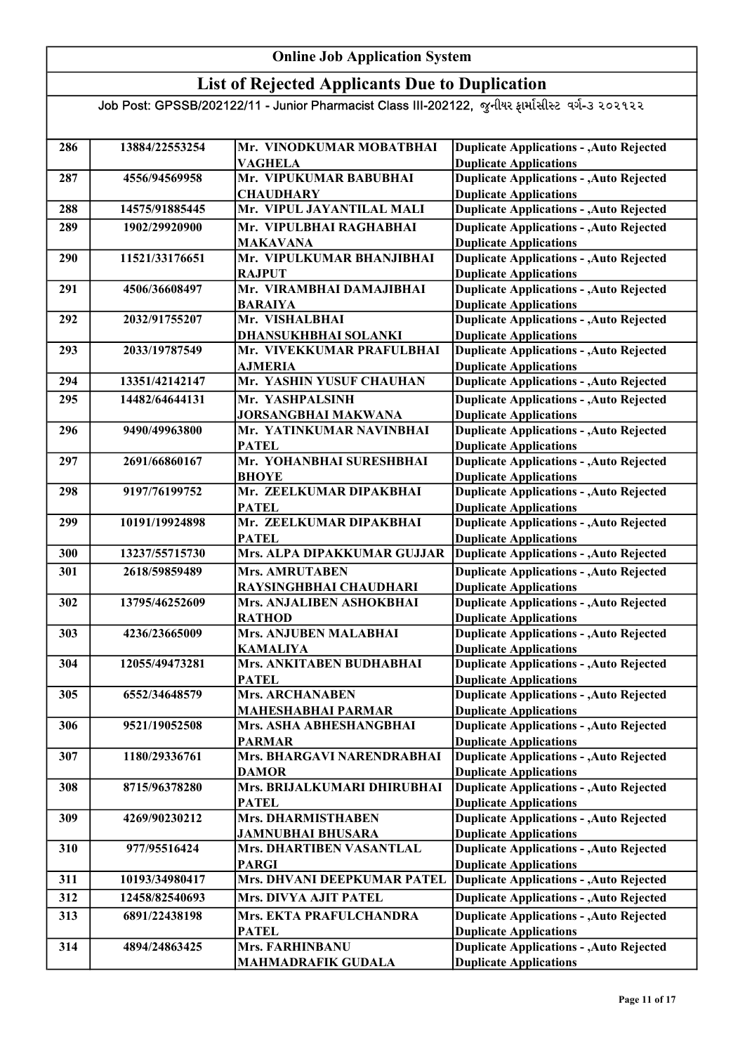### List of Rejected Applicants Due to Duplication

| 286 | 13884/22553254 | Mr. VINODKUMAR MOBATBHAI                    | <b>Duplicate Applications - , Auto Rejected</b>                                  |
|-----|----------------|---------------------------------------------|----------------------------------------------------------------------------------|
|     |                | <b>VAGHELA</b>                              | <b>Duplicate Applications</b>                                                    |
| 287 | 4556/94569958  | Mr. VIPUKUMAR BABUBHAI                      | <b>Duplicate Applications - , Auto Rejected</b>                                  |
|     |                | <b>CHAUDHARY</b>                            | <b>Duplicate Applications</b>                                                    |
| 288 | 14575/91885445 | Mr. VIPUL JAYANTILAL MALI                   | <b>Duplicate Applications - , Auto Rejected</b>                                  |
| 289 | 1902/29920900  | Mr. VIPULBHAI RAGHABHAI                     | <b>Duplicate Applications - , Auto Rejected</b>                                  |
|     |                | <b>MAKAVANA</b>                             | <b>Duplicate Applications</b>                                                    |
| 290 | 11521/33176651 | Mr. VIPULKUMAR BHANJIBHAI                   | <b>Duplicate Applications - , Auto Rejected</b>                                  |
|     |                | <b>RAJPUT</b>                               | <b>Duplicate Applications</b>                                                    |
| 291 | 4506/36608497  | Mr. VIRAMBHAI DAMAJIBHAI                    | <b>Duplicate Applications - , Auto Rejected</b>                                  |
|     |                | <b>BARAIYA</b>                              | <b>Duplicate Applications</b>                                                    |
| 292 | 2032/91755207  | Mr. VISHALBHAI                              | Duplicate Applications - , Auto Rejected                                         |
|     |                | DHANSUKHBHAI SOLANKI                        | <b>Duplicate Applications</b>                                                    |
| 293 | 2033/19787549  | Mr. VIVEKKUMAR PRAFULBHAI                   | <b>Duplicate Applications - , Auto Rejected</b>                                  |
|     |                | <b>AJMERIA</b>                              | <b>Duplicate Applications</b>                                                    |
| 294 | 13351/42142147 | Mr. YASHIN YUSUF CHAUHAN                    | <b>Duplicate Applications - , Auto Rejected</b>                                  |
| 295 | 14482/64644131 | Mr. YASHPALSINH                             | <b>Duplicate Applications - , Auto Rejected</b>                                  |
|     |                | JORSANGBHAI MAKWANA                         | <b>Duplicate Applications</b>                                                    |
| 296 | 9490/49963800  | Mr. YATINKUMAR NAVINBHAI                    | <b>Duplicate Applications - , Auto Rejected</b>                                  |
|     |                | <b>PATEL</b>                                | <b>Duplicate Applications</b>                                                    |
| 297 | 2691/66860167  | Mr. YOHANBHAI SURESHBHAI                    | <b>Duplicate Applications - , Auto Rejected</b>                                  |
|     |                | <b>BHOYE</b>                                | <b>Duplicate Applications</b>                                                    |
| 298 | 9197/76199752  | Mr. ZEELKUMAR DIPAKBHAI                     | <b>Duplicate Applications - , Auto Rejected</b>                                  |
|     |                | <b>PATEL</b>                                | <b>Duplicate Applications</b>                                                    |
| 299 | 10191/19924898 | Mr. ZEELKUMAR DIPAKBHAI                     | <b>Duplicate Applications - , Auto Rejected</b>                                  |
|     |                | <b>PATEL</b>                                | <b>Duplicate Applications</b>                                                    |
| 300 | 13237/55715730 | Mrs. ALPA DIPAKKUMAR GUJJAR                 | <b>Duplicate Applications - , Auto Rejected</b>                                  |
| 301 | 2618/59859489  | <b>Mrs. AMRUTABEN</b>                       | <b>Duplicate Applications - , Auto Rejected</b>                                  |
|     |                | RAYSINGHBHAI CHAUDHARI                      | <b>Duplicate Applications</b>                                                    |
| 302 | 13795/46252609 | Mrs. ANJALIBEN ASHOKBHAI                    | <b>Duplicate Applications - , Auto Rejected</b>                                  |
|     |                | <b>RATHOD</b>                               | <b>Duplicate Applications</b>                                                    |
| 303 | 4236/23665009  | Mrs. ANJUBEN MALABHAI                       | <b>Duplicate Applications - , Auto Rejected</b>                                  |
|     |                | <b>KAMALIYA</b>                             | <b>Duplicate Applications</b>                                                    |
| 304 | 12055/49473281 | Mrs. ANKITABEN BUDHABHAI                    | <b>Duplicate Applications - , Auto Rejected</b>                                  |
|     |                | <b>PATEL</b>                                | <b>Duplicate Applications</b>                                                    |
| 305 | 6552/34648579  | <b>Mrs. ARCHANABEN</b>                      | <b>Duplicate Applications - , Auto Rejected</b>                                  |
|     |                | <b>MAHESHABHAI PARMAR</b>                   | <b>Duplicate Applications</b>                                                    |
| 306 | 9521/19052508  | Mrs. ASHA ABHESHANGBHAI                     | <b>Duplicate Applications - , Auto Rejected</b>                                  |
|     |                | <b>PARMAR</b>                               | <b>Duplicate Applications</b>                                                    |
| 307 | 1180/29336761  | Mrs. BHARGAVI NARENDRABHAI                  | <b>Duplicate Applications - , Auto Rejected</b>                                  |
| 308 | 8715/96378280  | <b>DAMOR</b><br>Mrs. BRIJALKUMARI DHIRUBHAI | <b>Duplicate Applications</b><br><b>Duplicate Applications - , Auto Rejected</b> |
|     |                | <b>PATEL</b>                                | <b>Duplicate Applications</b>                                                    |
| 309 | 4269/90230212  | Mrs. DHARMISTHABEN                          | <b>Duplicate Applications - , Auto Rejected</b>                                  |
|     |                | <b>JAMNUBHAI BHUSARA</b>                    | <b>Duplicate Applications</b>                                                    |
| 310 | 977/95516424   | Mrs. DHARTIBEN VASANTLAL                    | <b>Duplicate Applications - , Auto Rejected</b>                                  |
|     |                | <b>PARGI</b>                                | <b>Duplicate Applications</b>                                                    |
| 311 | 10193/34980417 | Mrs. DHVANI DEEPKUMAR PATEL                 | <b>Duplicate Applications - , Auto Rejected</b>                                  |
| 312 | 12458/82540693 | Mrs. DIVYA AJIT PATEL                       | <b>Duplicate Applications - , Auto Rejected</b>                                  |
|     |                |                                             |                                                                                  |
| 313 | 6891/22438198  | Mrs. EKTA PRAFULCHANDRA                     | <b>Duplicate Applications - , Auto Rejected</b>                                  |
| 314 | 4894/24863425  | <b>PATEL</b><br>Mrs. FARHINBANU             | <b>Duplicate Applications</b><br><b>Duplicate Applications - , Auto Rejected</b> |
|     |                |                                             |                                                                                  |
|     |                | <b>MAHMADRAFIK GUDALA</b>                   | <b>Duplicate Applications</b>                                                    |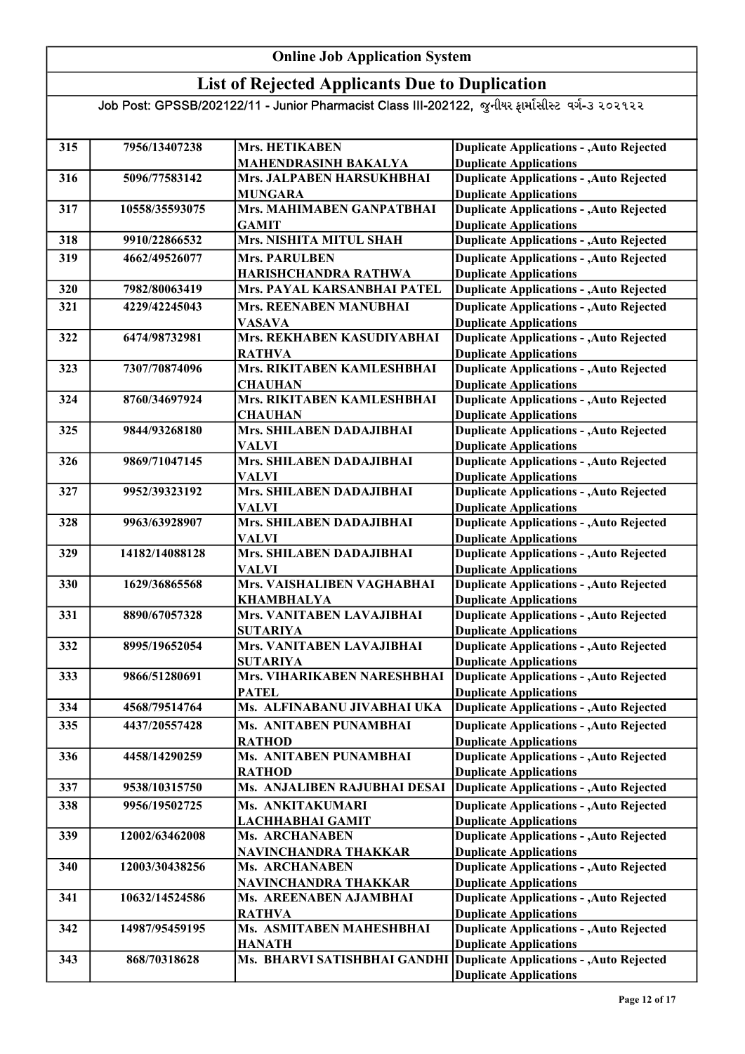### List of Rejected Applicants Due to Duplication

| 315 | 7956/13407238  | <b>Mrs. HETIKABEN</b>                     | <b>Duplicate Applications - , Auto Rejected</b>                                  |
|-----|----------------|-------------------------------------------|----------------------------------------------------------------------------------|
|     |                | MAHENDRASINH BAKALYA                      | <b>Duplicate Applications</b>                                                    |
| 316 | 5096/77583142  | Mrs. JALPABEN HARSUKHBHAI                 | <b>Duplicate Applications - , Auto Rejected</b>                                  |
|     |                | <b>MUNGARA</b>                            | <b>Duplicate Applications</b>                                                    |
| 317 | 10558/35593075 | Mrs. MAHIMABEN GANPATBHAI                 | <b>Duplicate Applications - , Auto Rejected</b>                                  |
|     |                | <b>GAMIT</b>                              | <b>Duplicate Applications</b>                                                    |
| 318 | 9910/22866532  | Mrs. NISHITA MITUL SHAH                   | <b>Duplicate Applications - , Auto Rejected</b>                                  |
| 319 | 4662/49526077  | <b>Mrs. PARULBEN</b>                      | <b>Duplicate Applications - , Auto Rejected</b>                                  |
|     |                | HARISHCHANDRA RATHWA                      | <b>Duplicate Applications</b>                                                    |
| 320 | 7982/80063419  | Mrs. PAYAL KARSANBHAI PATEL               | <b>Duplicate Applications - , Auto Rejected</b>                                  |
| 321 | 4229/42245043  | Mrs. REENABEN MANUBHAI                    | <b>Duplicate Applications - , Auto Rejected</b>                                  |
|     |                | <b>VASAVA</b>                             | <b>Duplicate Applications</b>                                                    |
| 322 | 6474/98732981  | Mrs. REKHABEN KASUDIYABHAI                | <b>Duplicate Applications - , Auto Rejected</b>                                  |
|     |                | <b>RATHVA</b>                             | <b>Duplicate Applications</b>                                                    |
| 323 | 7307/70874096  | Mrs. RIKITABEN KAMLESHBHAI                | <b>Duplicate Applications - , Auto Rejected</b>                                  |
|     |                | <b>CHAUHAN</b>                            | <b>Duplicate Applications</b>                                                    |
| 324 | 8760/34697924  | Mrs. RIKITABEN KAMLESHBHAI                | <b>Duplicate Applications - , Auto Rejected</b>                                  |
|     |                | <b>CHAUHAN</b>                            | <b>Duplicate Applications</b>                                                    |
| 325 | 9844/93268180  | Mrs. SHILABEN DADAJIBHAI                  | <b>Duplicate Applications - , Auto Rejected</b>                                  |
|     |                | VALVI                                     | <b>Duplicate Applications</b>                                                    |
| 326 | 9869/71047145  | Mrs. SHILABEN DADAJIBHAI                  | <b>Duplicate Applications - , Auto Rejected</b><br><b>Duplicate Applications</b> |
| 327 | 9952/39323192  | VALVI<br>Mrs. SHILABEN DADAJIBHAI         | <b>Duplicate Applications - , Auto Rejected</b>                                  |
|     |                | <b>VALVI</b>                              | <b>Duplicate Applications</b>                                                    |
| 328 | 9963/63928907  | Mrs. SHILABEN DADAJIBHAI                  | <b>Duplicate Applications - , Auto Rejected</b>                                  |
|     |                | <b>VALVI</b>                              | <b>Duplicate Applications</b>                                                    |
| 329 | 14182/14088128 | Mrs. SHILABEN DADAJIBHAI                  | <b>Duplicate Applications - , Auto Rejected</b>                                  |
|     |                | <b>VALVI</b>                              | <b>Duplicate Applications</b>                                                    |
| 330 | 1629/36865568  | Mrs. VAISHALIBEN VAGHABHAI                | <b>Duplicate Applications - , Auto Rejected</b>                                  |
|     |                | <b>KHAMBHALYA</b>                         | <b>Duplicate Applications</b>                                                    |
| 331 | 8890/67057328  | Mrs. VANITABEN LAVAJIBHAI                 | <b>Duplicate Applications - , Auto Rejected</b>                                  |
|     |                | <b>SUTARIYA</b>                           | <b>Duplicate Applications</b>                                                    |
| 332 | 8995/19652054  | Mrs. VANITABEN LAVAJIBHAI                 | <b>Duplicate Applications - , Auto Rejected</b>                                  |
|     |                | <b>SUTARIYA</b>                           | <b>Duplicate Applications</b>                                                    |
| 333 | 9866/51280691  | Mrs. VIHARIKABEN NARESHBHAI               | <b>Duplicate Applications - , Auto Rejected</b>                                  |
|     |                | <b>PATEL</b>                              | <b>Duplicate Applications</b>                                                    |
| 334 | 4568/79514764  | Ms. ALFINABANU JIVABHAI UKA               | Duplicate Applications - , Auto Rejected                                         |
| 335 | 4437/20557428  | Ms. ANITABEN PUNAMBHAI                    | <b>Duplicate Applications - , Auto Rejected</b>                                  |
|     |                | <b>RATHOD</b>                             | <b>Duplicate Applications</b>                                                    |
| 336 | 4458/14290259  | Ms. ANITABEN PUNAMBHAI<br><b>RATHOD</b>   | <b>Duplicate Applications - , Auto Rejected</b><br><b>Duplicate Applications</b> |
| 337 | 9538/10315750  | Ms. ANJALIBEN RAJUBHAI DESAI              | <b>Duplicate Applications - , Auto Rejected</b>                                  |
|     |                |                                           |                                                                                  |
| 338 | 9956/19502725  | Ms. ANKITAKUMARI                          | <b>Duplicate Applications - , Auto Rejected</b><br><b>Duplicate Applications</b> |
| 339 | 12002/63462008 | LACHHABHAI GAMIT<br><b>Ms. ARCHANABEN</b> | <b>Duplicate Applications - , Auto Rejected</b>                                  |
|     |                | NAVINCHANDRA THAKKAR                      | <b>Duplicate Applications</b>                                                    |
| 340 | 12003/30438256 | Ms. ARCHANABEN                            | <b>Duplicate Applications - , Auto Rejected</b>                                  |
|     |                | NAVINCHANDRA THAKKAR                      | <b>Duplicate Applications</b>                                                    |
| 341 | 10632/14524586 | Ms. AREENABEN AJAMBHAI                    | <b>Duplicate Applications - , Auto Rejected</b>                                  |
|     |                | <b>RATHVA</b>                             | <b>Duplicate Applications</b>                                                    |
| 342 | 14987/95459195 | Ms. ASMITABEN MAHESHBHAI                  | <b>Duplicate Applications - , Auto Rejected</b>                                  |
|     |                | <b>HANATH</b>                             | <b>Duplicate Applications</b>                                                    |
| 343 | 868/70318628   | Ms. BHARVI SATISHBHAI GANDHI              | Duplicate Applications - , Auto Rejected                                         |
|     |                |                                           | <b>Duplicate Applications</b>                                                    |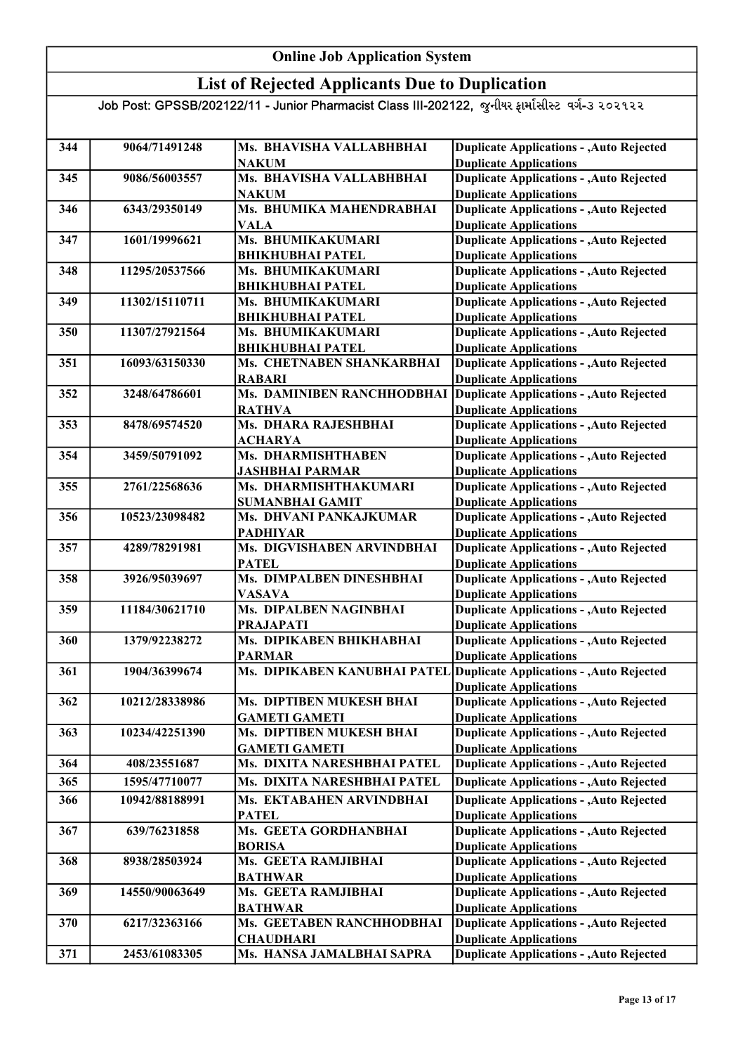### List of Rejected Applicants Due to Duplication

| 344 | 9064/71491248  | Ms. BHAVISHA VALLABHBHAI                      | <b>Duplicate Applications - , Auto Rejected</b>                                  |
|-----|----------------|-----------------------------------------------|----------------------------------------------------------------------------------|
|     |                | <b>NAKUM</b>                                  | <b>Duplicate Applications</b>                                                    |
| 345 | 9086/56003557  | Ms. BHAVISHA VALLABHBHAI                      | <b>Duplicate Applications - , Auto Rejected</b>                                  |
|     |                | <b>NAKUM</b><br>Ms. BHUMIKA MAHENDRABHAI      | <b>Duplicate Applications</b><br><b>Duplicate Applications - , Auto Rejected</b> |
| 346 | 6343/29350149  | VALA                                          | <b>Duplicate Applications</b>                                                    |
| 347 | 1601/19996621  | Ms. BHUMIKAKUMARI                             | <b>Duplicate Applications - , Auto Rejected</b>                                  |
|     |                | <b>BHIKHUBHAI PATEL</b>                       | <b>Duplicate Applications</b>                                                    |
| 348 | 11295/20537566 | Ms. BHUMIKAKUMARI                             | <b>Duplicate Applications - , Auto Rejected</b>                                  |
|     |                | <b>BHIKHUBHAI PATEL</b>                       | <b>Duplicate Applications</b>                                                    |
| 349 | 11302/15110711 | Ms. BHUMIKAKUMARI                             | <b>Duplicate Applications - , Auto Rejected</b>                                  |
|     |                | <b>BHIKHUBHAI PATEL</b>                       | <b>Duplicate Applications</b>                                                    |
| 350 | 11307/27921564 | Ms. BHUMIKAKUMARI                             | <b>Duplicate Applications - , Auto Rejected</b>                                  |
|     |                | <b>BHIKHUBHAI PATEL</b>                       | <b>Duplicate Applications</b>                                                    |
| 351 | 16093/63150330 | Ms. CHETNABEN SHANKARBHAI                     | <b>Duplicate Applications - , Auto Rejected</b>                                  |
|     |                | <b>RABARI</b>                                 | <b>Duplicate Applications</b>                                                    |
| 352 | 3248/64786601  | Ms. DAMINIBEN RANCHHODBHAI                    | Duplicate Applications - , Auto Rejected                                         |
|     |                | <b>RATHVA</b>                                 | <b>Duplicate Applications</b>                                                    |
| 353 | 8478/69574520  | Ms. DHARA RAJESHBHAI                          | <b>Duplicate Applications - , Auto Rejected</b>                                  |
|     |                | <b>ACHARYA</b>                                | <b>Duplicate Applications</b>                                                    |
| 354 | 3459/50791092  | Ms. DHARMISHTHABEN                            | <b>Duplicate Applications - , Auto Rejected</b>                                  |
|     |                | <b>JASHBHAI PARMAR</b>                        | <b>Duplicate Applications</b>                                                    |
| 355 | 2761/22568636  | Ms. DHARMISHTHAKUMARI                         | <b>Duplicate Applications - , Auto Rejected</b>                                  |
|     |                | <b>SUMANBHAI GAMIT</b>                        | <b>Duplicate Applications</b>                                                    |
| 356 | 10523/23098482 | Ms. DHVANI PANKAJKUMAR                        | <b>Duplicate Applications - , Auto Rejected</b>                                  |
|     |                | <b>PADHIYAR</b>                               | <b>Duplicate Applications</b>                                                    |
| 357 | 4289/78291981  | Ms. DIGVISHABEN ARVINDBHAI                    | <b>Duplicate Applications - , Auto Rejected</b>                                  |
|     |                | <b>PATEL</b>                                  | <b>Duplicate Applications</b>                                                    |
| 358 | 3926/95039697  | Ms. DIMPALBEN DINESHBHAI                      | <b>Duplicate Applications - , Auto Rejected</b>                                  |
|     |                | <b>VASAVA</b>                                 | <b>Duplicate Applications</b>                                                    |
| 359 | 11184/30621710 | Ms. DIPALBEN NAGINBHAI                        | <b>Duplicate Applications - , Auto Rejected</b>                                  |
|     |                | <b>PRAJAPATI</b>                              | <b>Duplicate Applications</b>                                                    |
| 360 | 1379/92238272  | Ms. DIPIKABEN BHIKHABHAI                      | <b>Duplicate Applications - , Auto Rejected</b>                                  |
| 361 | 1904/36399674  | <b>PARMAR</b><br>Ms. DIPIKABEN KANUBHAI PATEL | <b>Duplicate Applications</b><br>Duplicate Applications - , Auto Rejected        |
|     |                |                                               | <b>Duplicate Applications</b>                                                    |
| 362 | 10212/28338986 | Ms. DIPTIBEN MUKESH BHAI                      | <b>Duplicate Applications - , Auto Rejected</b>                                  |
|     |                | <b>GAMETI GAMETI</b>                          | <b>Duplicate Applications</b>                                                    |
| 363 | 10234/42251390 | Ms. DIPTIBEN MUKESH BHAI                      | <b>Duplicate Applications - , Auto Rejected</b>                                  |
|     |                | <b>GAMETI GAMETI</b>                          | <b>Duplicate Applications</b>                                                    |
| 364 | 408/23551687   | Ms. DIXITA NARESHBHAI PATEL                   | <b>Duplicate Applications - , Auto Rejected</b>                                  |
| 365 | 1595/47710077  | Ms. DIXITA NARESHBHAI PATEL                   | <b>Duplicate Applications - , Auto Rejected</b>                                  |
| 366 | 10942/88188991 | Ms. EKTABAHEN ARVINDBHAI                      | <b>Duplicate Applications - , Auto Rejected</b>                                  |
|     |                | <b>PATEL</b>                                  | <b>Duplicate Applications</b>                                                    |
| 367 | 639/76231858   | Ms. GEETA GORDHANBHAI                         | <b>Duplicate Applications - , Auto Rejected</b>                                  |
|     |                | <b>BORISA</b>                                 | <b>Duplicate Applications</b>                                                    |
| 368 | 8938/28503924  | Ms. GEETA RAMJIBHAI                           | <b>Duplicate Applications - , Auto Rejected</b>                                  |
|     |                | <b>BATHWAR</b>                                | <b>Duplicate Applications</b>                                                    |
| 369 | 14550/90063649 | Ms. GEETA RAMJIBHAI                           | <b>Duplicate Applications - , Auto Rejected</b>                                  |
|     |                | <b>BATHWAR</b>                                | <b>Duplicate Applications</b>                                                    |
| 370 | 6217/32363166  | Ms. GEETABEN RANCHHODBHAI                     | Duplicate Applications - , Auto Rejected                                         |
|     |                | <b>CHAUDHARI</b>                              | <b>Duplicate Applications</b>                                                    |
| 371 | 2453/61083305  | Ms. HANSA JAMALBHAI SAPRA                     | <b>Duplicate Applications - , Auto Rejected</b>                                  |
|     |                |                                               |                                                                                  |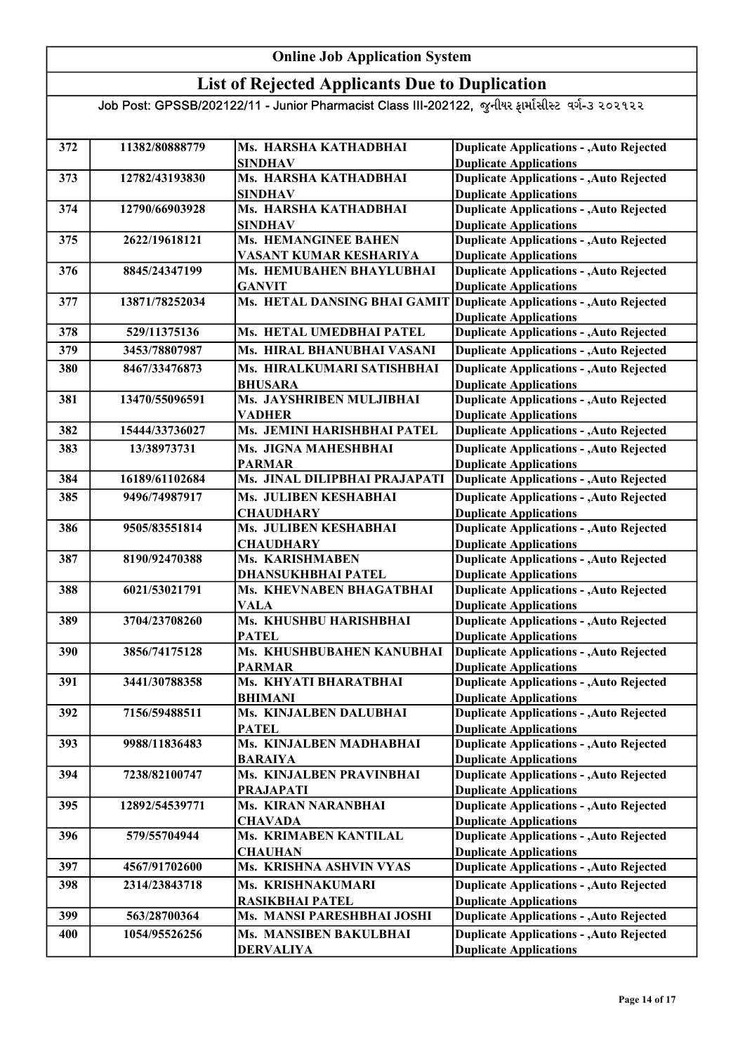### List of Rejected Applicants Due to Duplication

| 372 | 11382/80888779 | Ms. HARSHA KATHADBHAI                  | <b>Duplicate Applications - , Auto Rejected</b>                                  |
|-----|----------------|----------------------------------------|----------------------------------------------------------------------------------|
|     |                | <b>SINDHAV</b>                         | <b>Duplicate Applications</b>                                                    |
| 373 | 12782/43193830 | Ms. HARSHA KATHADBHAI                  | <b>Duplicate Applications - , Auto Rejected</b>                                  |
|     |                | <b>SINDHAV</b>                         | <b>Duplicate Applications</b>                                                    |
| 374 | 12790/66903928 | Ms. HARSHA KATHADBHAI                  | <b>Duplicate Applications - , Auto Rejected</b>                                  |
|     |                | <b>SINDHAV</b>                         | <b>Duplicate Applications</b>                                                    |
| 375 | 2622/19618121  | Ms. HEMANGINEE BAHEN                   | <b>Duplicate Applications - , Auto Rejected</b>                                  |
|     |                | VASANT KUMAR KESHARIYA                 | <b>Duplicate Applications</b>                                                    |
| 376 | 8845/24347199  | Ms. HEMUBAHEN BHAYLUBHAI               | <b>Duplicate Applications - , Auto Rejected</b>                                  |
|     |                | <b>GANVIT</b>                          | <b>Duplicate Applications</b>                                                    |
| 377 | 13871/78252034 | Ms. HETAL DANSING BHAI GAMIT           | Duplicate Applications - , Auto Rejected<br><b>Duplicate Applications</b>        |
| 378 | 529/11375136   | Ms. HETAL UMEDBHAI PATEL               | <b>Duplicate Applications - , Auto Rejected</b>                                  |
| 379 | 3453/78807987  | Ms. HIRAL BHANUBHAI VASANI             | <b>Duplicate Applications - , Auto Rejected</b>                                  |
| 380 | 8467/33476873  | Ms. HIRALKUMARI SATISHBHAI             | <b>Duplicate Applications - , Auto Rejected</b>                                  |
|     |                | <b>BHUSARA</b>                         | <b>Duplicate Applications</b>                                                    |
| 381 | 13470/55096591 | Ms. JAYSHRIBEN MULJIBHAI               | <b>Duplicate Applications - , Auto Rejected</b>                                  |
|     |                | VADHER                                 | <b>Duplicate Applications</b>                                                    |
| 382 | 15444/33736027 | Ms. JEMINI HARISHBHAI PATEL            | <b>Duplicate Applications - , Auto Rejected</b>                                  |
| 383 | 13/38973731    | Ms. JIGNA MAHESHBHAI                   | <b>Duplicate Applications - , Auto Rejected</b>                                  |
|     |                | <b>PARMAR</b>                          | <b>Duplicate Applications</b>                                                    |
| 384 | 16189/61102684 | Ms. JINAL DILIPBHAI PRAJAPATI          | <b>Duplicate Applications - , Auto Rejected</b>                                  |
| 385 | 9496/74987917  | Ms. JULIBEN KESHABHAI                  | <b>Duplicate Applications - , Auto Rejected</b>                                  |
|     |                | <b>CHAUDHARY</b>                       | <b>Duplicate Applications</b>                                                    |
| 386 | 9505/83551814  | Ms. JULIBEN KESHABHAI                  | <b>Duplicate Applications - , Auto Rejected</b>                                  |
|     |                | <b>CHAUDHARY</b>                       | <b>Duplicate Applications</b>                                                    |
| 387 | 8190/92470388  | Ms. KARISHMABEN                        | <b>Duplicate Applications - , Auto Rejected</b>                                  |
|     |                | <b>DHANSUKHBHAI PATEL</b>              | <b>Duplicate Applications</b>                                                    |
| 388 | 6021/53021791  | Ms. KHEVNABEN BHAGATBHAI               | <b>Duplicate Applications - , Auto Rejected</b>                                  |
|     |                | <b>VALA</b>                            | <b>Duplicate Applications</b>                                                    |
| 389 | 3704/23708260  | Ms. KHUSHBU HARISHBHAI                 | <b>Duplicate Applications - , Auto Rejected</b>                                  |
|     |                | <b>PATEL</b>                           | <b>Duplicate Applications</b>                                                    |
| 390 | 3856/74175128  | Ms. KHUSHBUBAHEN KANUBHAI              | <b>Duplicate Applications - , Auto Rejected</b>                                  |
| 391 | 3441/30788358  | <b>PARMAR</b><br>Ms. KHYATI BHARATBHAI | <b>Duplicate Applications</b><br><b>Duplicate Applications - , Auto Rejected</b> |
|     |                | <b>BHIMANI</b>                         | <b>Duplicate Applications</b>                                                    |
| 392 | 7156/59488511  | Ms. KINJALBEN DALUBHAI                 | <b>Duplicate Applications - , Auto Rejected</b>                                  |
|     |                | <b>PATEL</b>                           | <b>Duplicate Applications</b>                                                    |
| 393 | 9988/11836483  | Ms. KINJALBEN MADHABHAI                | <b>Duplicate Applications - , Auto Rejected</b>                                  |
|     |                | <b>BARAIYA</b>                         | <b>Duplicate Applications</b>                                                    |
| 394 | 7238/82100747  | Ms. KINJALBEN PRAVINBHAI               | <b>Duplicate Applications - , Auto Rejected</b>                                  |
|     |                | PRAJAPATI                              | <b>Duplicate Applications</b>                                                    |
| 395 | 12892/54539771 | Ms. KIRAN NARANBHAI                    | <b>Duplicate Applications - , Auto Rejected</b>                                  |
|     |                | <b>CHAVADA</b>                         | <b>Duplicate Applications</b>                                                    |
| 396 | 579/55704944   | Ms. KRIMABEN KANTILAL                  | <b>Duplicate Applications - , Auto Rejected</b>                                  |
|     |                | <b>CHAUHAN</b>                         | <b>Duplicate Applications</b>                                                    |
| 397 | 4567/91702600  | Ms. KRISHNA ASHVIN VYAS                | <b>Duplicate Applications - , Auto Rejected</b>                                  |
| 398 | 2314/23843718  | Ms. KRISHNAKUMARI                      | <b>Duplicate Applications - , Auto Rejected</b>                                  |
|     |                | <b>RASIKBHAI PATEL</b>                 | <b>Duplicate Applications</b>                                                    |
| 399 | 563/28700364   | Ms. MANSI PARESHBHAI JOSHI             | <b>Duplicate Applications - , Auto Rejected</b>                                  |
| 400 | 1054/95526256  | Ms. MANSIBEN BAKULBHAI                 | <b>Duplicate Applications - , Auto Rejected</b>                                  |
|     |                | <b>DERVALIYA</b>                       | <b>Duplicate Applications</b>                                                    |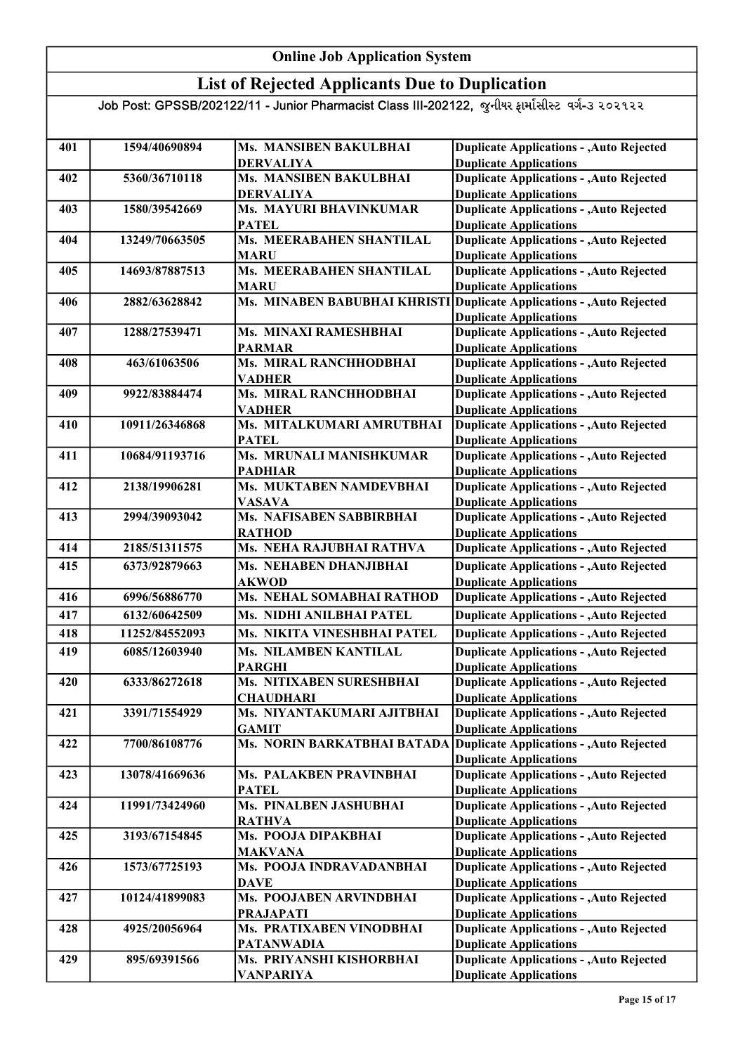### List of Rejected Applicants Due to Duplication

| 401 | 1594/40690894  | Ms. MANSIBEN BAKULBHAI                      | <b>Duplicate Applications - , Auto Rejected</b>                                  |
|-----|----------------|---------------------------------------------|----------------------------------------------------------------------------------|
|     |                | <b>DERVALIYA</b>                            | <b>Duplicate Applications</b>                                                    |
| 402 | 5360/36710118  | Ms. MANSIBEN BAKULBHAI                      | <b>Duplicate Applications - , Auto Rejected</b>                                  |
|     |                | <b>DERVALIYA</b>                            | <b>Duplicate Applications</b>                                                    |
| 403 | 1580/39542669  | Ms. MAYURI BHAVINKUMAR                      | <b>Duplicate Applications - , Auto Rejected</b>                                  |
|     |                | <b>PATEL</b>                                | <b>Duplicate Applications</b>                                                    |
| 404 | 13249/70663505 | Ms. MEERABAHEN SHANTILAL                    | <b>Duplicate Applications - , Auto Rejected</b>                                  |
|     |                | <b>MARU</b>                                 | <b>Duplicate Applications</b>                                                    |
| 405 | 14693/87887513 | Ms. MEERABAHEN SHANTILAL                    | <b>Duplicate Applications - , Auto Rejected</b>                                  |
|     |                | <b>MARU</b>                                 | <b>Duplicate Applications</b>                                                    |
| 406 | 2882/63628842  | Ms. MINABEN BABUBHAI KHRISTI                | <b>Duplicate Applications - , Auto Rejected</b>                                  |
|     |                |                                             | <b>Duplicate Applications</b>                                                    |
| 407 | 1288/27539471  | Ms. MINAXI RAMESHBHAI                       | <b>Duplicate Applications - , Auto Rejected</b>                                  |
|     |                | <b>PARMAR</b>                               | <b>Duplicate Applications</b>                                                    |
| 408 | 463/61063506   | Ms. MIRAL RANCHHODBHAI                      | <b>Duplicate Applications - , Auto Rejected</b>                                  |
|     |                | <b>VADHER</b>                               | <b>Duplicate Applications</b>                                                    |
| 409 | 9922/83884474  | Ms. MIRAL RANCHHODBHAI                      | <b>Duplicate Applications - , Auto Rejected</b>                                  |
|     |                | <b>VADHER</b>                               | <b>Duplicate Applications</b>                                                    |
| 410 | 10911/26346868 | Ms. MITALKUMARI AMRUTBHAI                   | <b>Duplicate Applications - , Auto Rejected</b>                                  |
|     |                | <b>PATEL</b>                                | <b>Duplicate Applications</b>                                                    |
| 411 | 10684/91193716 | Ms. MRUNALI MANISHKUMAR                     | <b>Duplicate Applications - , Auto Rejected</b>                                  |
|     |                | <b>PADHIAR</b>                              | <b>Duplicate Applications</b>                                                    |
| 412 | 2138/19906281  | Ms. MUKTABEN NAMDEVBHAI                     | <b>Duplicate Applications - , Auto Rejected</b>                                  |
|     |                | <b>VASAVA</b>                               | <b>Duplicate Applications</b>                                                    |
| 413 | 2994/39093042  | Ms. NAFISABEN SABBIRBHAI                    | <b>Duplicate Applications - , Auto Rejected</b>                                  |
|     |                | <b>RATHOD</b>                               | <b>Duplicate Applications</b>                                                    |
| 414 | 2185/51311575  | Ms. NEHA RAJUBHAI RATHVA                    | <b>Duplicate Applications - , Auto Rejected</b>                                  |
|     |                |                                             |                                                                                  |
| 415 | 6373/92879663  | Ms. NEHABEN DHANJIBHAI<br><b>AKWOD</b>      | <b>Duplicate Applications - , Auto Rejected</b><br><b>Duplicate Applications</b> |
| 416 | 6996/56886770  | Ms. NEHAL SOMABHAI RATHOD                   | <b>Duplicate Applications - , Auto Rejected</b>                                  |
| 417 | 6132/60642509  | Ms. NIDHI ANILBHAI PATEL                    | <b>Duplicate Applications - , Auto Rejected</b>                                  |
| 418 | 11252/84552093 | Ms. NIKITA VINESHBHAI PATEL                 | <b>Duplicate Applications - , Auto Rejected</b>                                  |
|     |                |                                             |                                                                                  |
| 419 | 6085/12603940  | Ms. NILAMBEN KANTILAL                       | <b>Duplicate Applications - , Auto Rejected</b>                                  |
|     |                | <b>PARGHI</b>                               | <b>Duplicate Applications</b>                                                    |
| 420 | 6333/86272618  | Ms. NITIXABEN SURESHBHAI                    | <b>Duplicate Applications - , Auto Rejected</b>                                  |
|     |                | <b>CHAUDHARI</b>                            | <b>Duplicate Applications</b>                                                    |
| 421 | 3391/71554929  | Ms. NIYANTAKUMARI AJITBHAI                  | <b>Duplicate Applications - , Auto Rejected</b><br><b>Duplicate Applications</b> |
| 422 | 7700/86108776  | <b>GAMIT</b><br>Ms. NORIN BARKATBHAI BATADA | Duplicate Applications - , Auto Rejected                                         |
|     |                |                                             | <b>Duplicate Applications</b>                                                    |
|     |                |                                             |                                                                                  |
| 423 | 13078/41669636 | Ms. PALAKBEN PRAVINBHAI                     | <b>Duplicate Applications - , Auto Rejected</b><br><b>Duplicate Applications</b> |
| 424 | 11991/73424960 | <b>PATEL</b><br>Ms. PINALBEN JASHUBHAI      | <b>Duplicate Applications - , Auto Rejected</b>                                  |
|     |                |                                             | <b>Duplicate Applications</b>                                                    |
|     | 3193/67154845  | <b>RATHVA</b><br>Ms. POOJA DIPAKBHAI        | <b>Duplicate Applications - , Auto Rejected</b>                                  |
| 425 |                | <b>MAKVANA</b>                              | <b>Duplicate Applications</b>                                                    |
| 426 | 1573/67725193  | Ms. POOJA INDRAVADANBHAI                    | <b>Duplicate Applications - , Auto Rejected</b>                                  |
|     |                | <b>DAVE</b>                                 | <b>Duplicate Applications</b>                                                    |
| 427 | 10124/41899083 | Ms. POOJABEN ARVINDBHAI                     | <b>Duplicate Applications - , Auto Rejected</b>                                  |
|     |                | <b>PRAJAPATI</b>                            | <b>Duplicate Applications</b>                                                    |
| 428 | 4925/20056964  | Ms. PRATIXABEN VINODBHAI                    | <b>Duplicate Applications - , Auto Rejected</b>                                  |
|     |                | <b>PATANWADIA</b>                           | <b>Duplicate Applications</b>                                                    |
| 429 | 895/69391566   | Ms. PRIYANSHI KISHORBHAI                    | <b>Duplicate Applications - , Auto Rejected</b>                                  |
|     |                |                                             | <b>Duplicate Applications</b>                                                    |
|     |                | <b>VANPARIYA</b>                            |                                                                                  |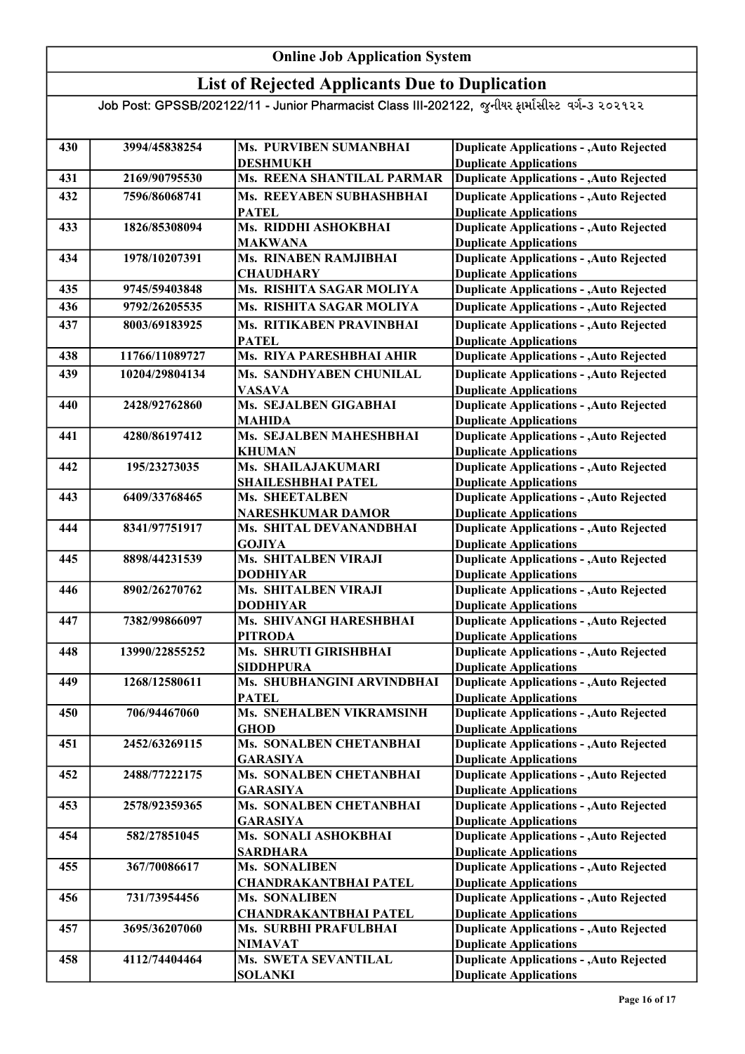### List of Rejected Applicants Due to Duplication

| 430 | 3994/45838254  | Ms. PURVIBEN SUMANBHAI                        | <b>Duplicate Applications - , Auto Rejected</b>                                  |
|-----|----------------|-----------------------------------------------|----------------------------------------------------------------------------------|
|     |                | <b>DESHMUKH</b>                               | <b>Duplicate Applications</b>                                                    |
| 431 | 2169/90795530  | Ms. REENA SHANTILAL PARMAR                    | <b>Duplicate Applications - , Auto Rejected</b>                                  |
| 432 | 7596/86068741  | Ms. REEYABEN SUBHASHBHAI                      | <b>Duplicate Applications - , Auto Rejected</b>                                  |
|     |                | <b>PATEL</b>                                  | <b>Duplicate Applications</b>                                                    |
| 433 | 1826/85308094  | Ms. RIDDHI ASHOKBHAI                          | <b>Duplicate Applications - , Auto Rejected</b>                                  |
|     |                | <b>MAKWANA</b>                                | <b>Duplicate Applications</b>                                                    |
| 434 | 1978/10207391  | Ms. RINABEN RAMJIBHAI<br><b>CHAUDHARY</b>     | <b>Duplicate Applications - , Auto Rejected</b><br><b>Duplicate Applications</b> |
| 435 | 9745/59403848  | Ms. RISHITA SAGAR MOLIYA                      | <b>Duplicate Applications - , Auto Rejected</b>                                  |
| 436 | 9792/26205535  | Ms. RISHITA SAGAR MOLIYA                      | <b>Duplicate Applications - , Auto Rejected</b>                                  |
| 437 | 8003/69183925  | Ms. RITIKABEN PRAVINBHAI                      | <b>Duplicate Applications - , Auto Rejected</b>                                  |
|     |                | <b>PATEL</b>                                  | <b>Duplicate Applications</b>                                                    |
| 438 | 11766/11089727 | Ms. RIYA PARESHBHAI AHIR                      | <b>Duplicate Applications - , Auto Rejected</b>                                  |
| 439 | 10204/29804134 | Ms. SANDHYABEN CHUNILAL                       | <b>Duplicate Applications - , Auto Rejected</b>                                  |
|     |                | <b>VASAVA</b>                                 | <b>Duplicate Applications</b>                                                    |
| 440 | 2428/92762860  | Ms. SEJALBEN GIGABHAI                         | <b>Duplicate Applications - , Auto Rejected</b>                                  |
|     |                | <b>MAHIDA</b>                                 | <b>Duplicate Applications</b>                                                    |
| 441 | 4280/86197412  | Ms. SEJALBEN MAHESHBHAI                       | Duplicate Applications - , Auto Rejected                                         |
|     |                | <b>KHUMAN</b>                                 | <b>Duplicate Applications</b>                                                    |
| 442 | 195/23273035   | Ms. SHAILAJAKUMARI                            | <b>Duplicate Applications - , Auto Rejected</b>                                  |
|     |                | SHAILESHBHAI PATEL                            | <b>Duplicate Applications</b>                                                    |
| 443 | 6409/33768465  | Ms. SHEETALBEN                                | <b>Duplicate Applications - , Auto Rejected</b>                                  |
|     |                | <b>NARESHKUMAR DAMOR</b>                      | <b>Duplicate Applications</b>                                                    |
| 444 | 8341/97751917  | Ms. SHITAL DEVANANDBHAI                       | <b>Duplicate Applications - , Auto Rejected</b>                                  |
|     |                | <b>GOJIYA</b>                                 | <b>Duplicate Applications</b>                                                    |
| 445 | 8898/44231539  | Ms. SHITALBEN VIRAJI                          | <b>Duplicate Applications - , Auto Rejected</b>                                  |
|     |                | <b>DODHIYAR</b>                               | <b>Duplicate Applications</b>                                                    |
| 446 | 8902/26270762  | Ms. SHITALBEN VIRAJI                          | <b>Duplicate Applications - , Auto Rejected</b>                                  |
|     |                | <b>DODHIYAR</b><br>Ms. SHIVANGI HARESHBHAI    | <b>Duplicate Applications</b>                                                    |
| 447 | 7382/99866097  | <b>PITRODA</b>                                | <b>Duplicate Applications - , Auto Rejected</b>                                  |
| 448 | 13990/22855252 | Ms. SHRUTI GIRISHBHAI                         | <b>Duplicate Applications</b><br><b>Duplicate Applications - , Auto Rejected</b> |
|     |                | <b>SIDDHPURA</b>                              | <b>Duplicate Applications</b>                                                    |
| 449 | 1268/12580611  | Ms. SHUBHANGINI ARVINDBHAI                    | <b>Duplicate Applications - , Auto Rejected</b>                                  |
|     |                | <b>PATEL</b>                                  | <b>Duplicate Applications</b>                                                    |
| 450 | 706/94467060   | Ms. SNEHALBEN VIKRAMSINH                      | <b>Duplicate Applications - , Auto Rejected</b>                                  |
|     |                | <b>GHOD</b>                                   | <b>Duplicate Applications</b>                                                    |
| 451 | 2452/63269115  | Ms. SONALBEN CHETANBHAI                       | <b>Duplicate Applications - , Auto Rejected</b>                                  |
|     |                | <b>GARASIYA</b>                               | <b>Duplicate Applications</b>                                                    |
| 452 | 2488/77222175  | Ms. SONALBEN CHETANBHAI                       | Duplicate Applications - , Auto Rejected                                         |
|     |                | <b>GARASIYA</b>                               | <b>Duplicate Applications</b>                                                    |
| 453 | 2578/92359365  | Ms. SONALBEN CHETANBHAI                       | <b>Duplicate Applications - , Auto Rejected</b>                                  |
|     |                | <b>GARASIYA</b>                               | <b>Duplicate Applications</b>                                                    |
| 454 | 582/27851045   | Ms. SONALI ASHOKBHAI                          | <b>Duplicate Applications - , Auto Rejected</b>                                  |
|     |                | <b>SARDHARA</b>                               | <b>Duplicate Applications</b>                                                    |
| 455 | 367/70086617   | Ms. SONALIBEN<br><b>CHANDRAKANTBHAI PATEL</b> | <b>Duplicate Applications - , Auto Rejected</b><br><b>Duplicate Applications</b> |
| 456 | 731/73954456   | <b>Ms. SONALIBEN</b>                          | <b>Duplicate Applications - , Auto Rejected</b>                                  |
|     |                | <b>CHANDRAKANTBHAI PATEL</b>                  | <b>Duplicate Applications</b>                                                    |
| 457 | 3695/36207060  | Ms. SURBHI PRAFULBHAI                         | <b>Duplicate Applications - , Auto Rejected</b>                                  |
|     |                | <b>NIMAVAT</b>                                | <b>Duplicate Applications</b>                                                    |
| 458 | 4112/74404464  | Ms. SWETA SEVANTILAL                          | <b>Duplicate Applications - , Auto Rejected</b>                                  |
|     |                | <b>SOLANKI</b>                                | <b>Duplicate Applications</b>                                                    |